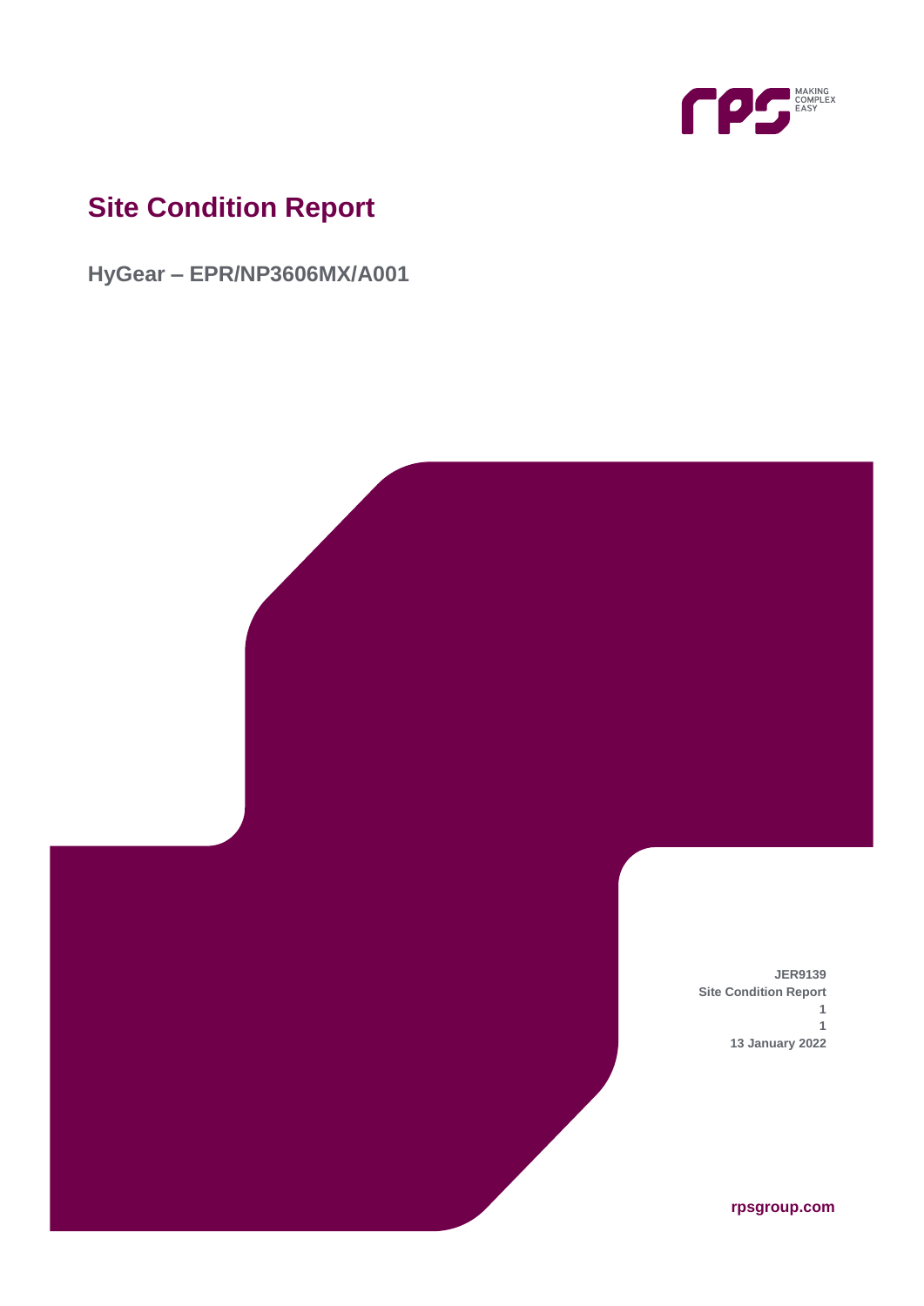

# **Site Condition Report**

**HyGear – EPR/NP3606MX/A001**

**JER9139 Site Condition Report 1 1 13 January 2022**

**rpsgroup.com**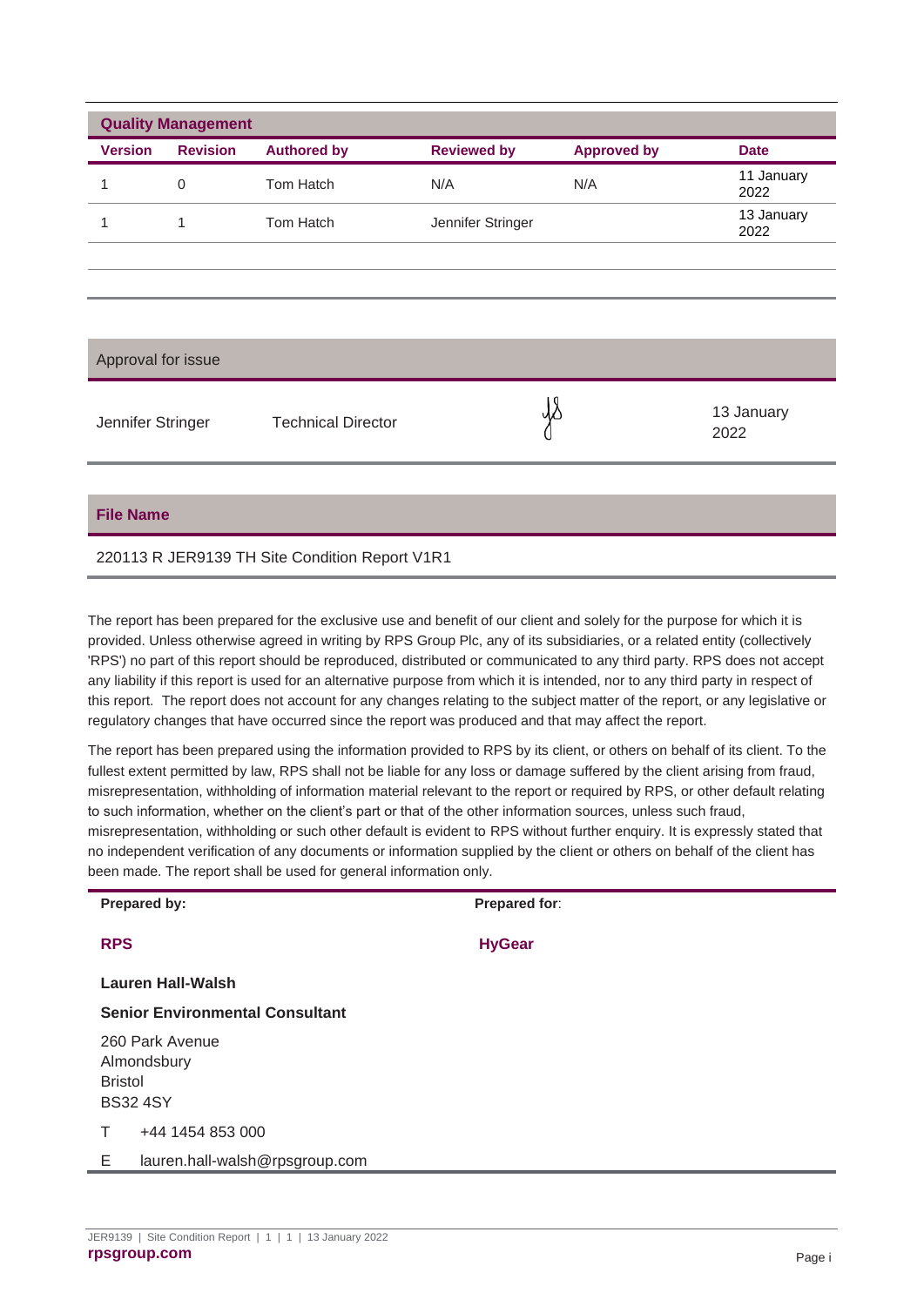| <b>Quality Management</b> |                 |                           |                    |                    |                    |
|---------------------------|-----------------|---------------------------|--------------------|--------------------|--------------------|
| <b>Version</b>            | <b>Revision</b> | <b>Authored by</b>        | <b>Reviewed by</b> | <b>Approved by</b> | <b>Date</b>        |
| 1                         | $\mathbf 0$     | Tom Hatch                 | N/A                | N/A                | 11 January<br>2022 |
|                           | 1               | Tom Hatch                 | Jennifer Stringer  |                    | 13 January<br>2022 |
|                           |                 |                           |                    |                    |                    |
|                           |                 |                           |                    |                    |                    |
| Approval for issue        |                 |                           |                    |                    |                    |
| Jennifer Stringer         |                 | <b>Technical Director</b> |                    |                    | 13 January<br>2022 |
|                           |                 |                           |                    |                    |                    |

#### **File Name**

#### 220113 R JER9139 TH Site Condition Report V1R1

The report has been prepared for the exclusive use and benefit of our client and solely for the purpose for which it is provided. Unless otherwise agreed in writing by RPS Group Plc, any of its subsidiaries, or a related entity (collectively 'RPS') no part of this report should be reproduced, distributed or communicated to any third party. RPS does not accept any liability if this report is used for an alternative purpose from which it is intended, nor to any third party in respect of this report. The report does not account for any changes relating to the subject matter of the report, or any legislative or regulatory changes that have occurred since the report was produced and that may affect the report.

The report has been prepared using the information provided to RPS by its client, or others on behalf of its client. To the fullest extent permitted by law, RPS shall not be liable for any loss or damage suffered by the client arising from fraud, misrepresentation, withholding of information material relevant to the report or required by RPS, or other default relating to such information, whether on the client's part or that of the other information sources, unless such fraud, misrepresentation, withholding or such other default is evident to RPS without further enquiry. It is expressly stated that no independent verification of any documents or information supplied by the client or others on behalf of the client has been made. The report shall be used for general information only.

|            | Prepared by:                                                        | Prepared for: |  |  |
|------------|---------------------------------------------------------------------|---------------|--|--|
| <b>RPS</b> |                                                                     | <b>HyGear</b> |  |  |
|            | <b>Lauren Hall-Walsh</b>                                            |               |  |  |
|            | <b>Senior Environmental Consultant</b>                              |               |  |  |
|            | 260 Park Avenue<br>Almondsbury<br><b>Bristol</b><br><b>BS32 4SY</b> |               |  |  |
| т          | +44 1454 853 000                                                    |               |  |  |
| Е          | lauren.hall-walsh@rpsgroup.com                                      |               |  |  |
|            |                                                                     |               |  |  |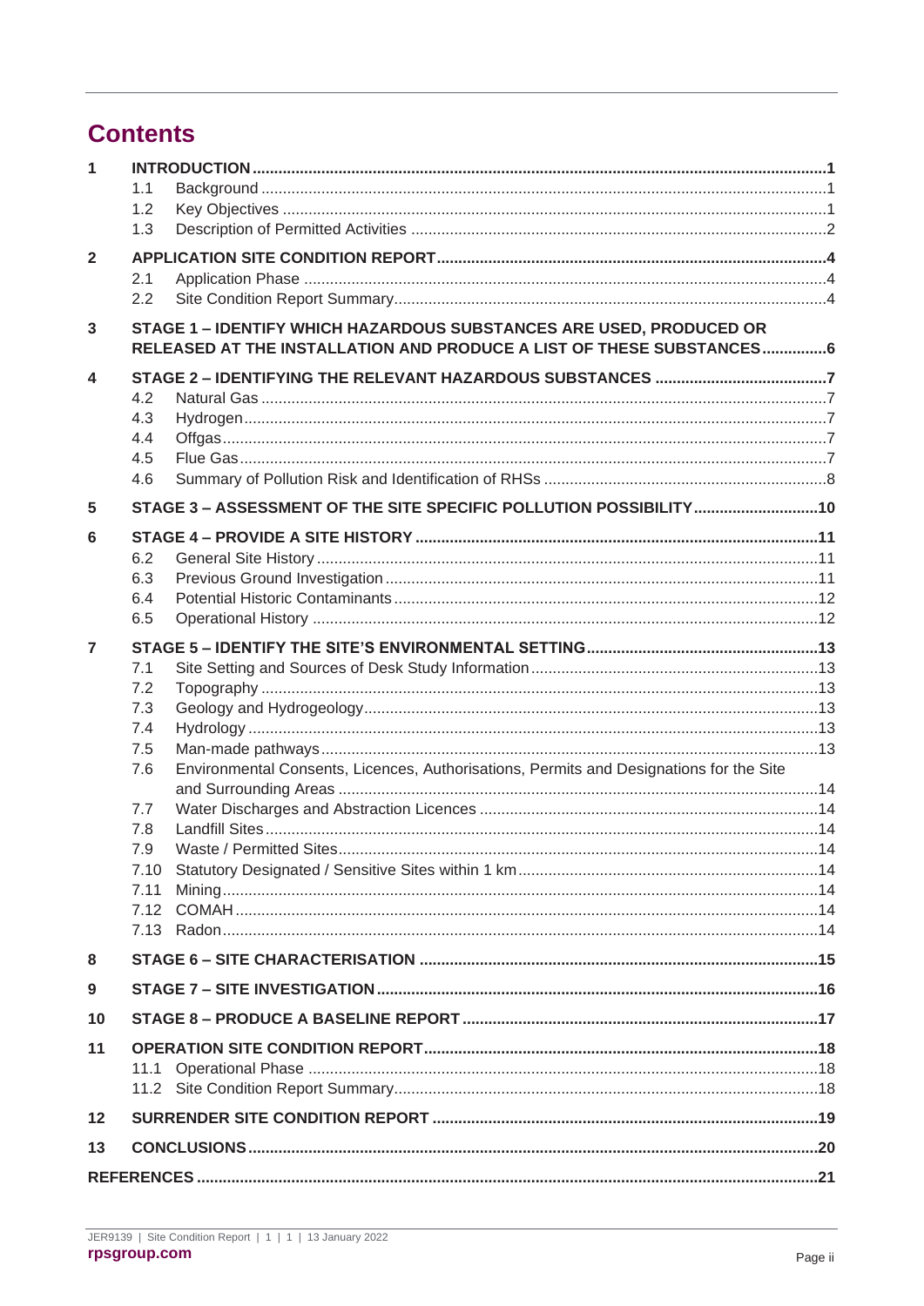## **Contents**

| $\mathbf{1}$   |                                                                                                                                             |  |
|----------------|---------------------------------------------------------------------------------------------------------------------------------------------|--|
|                | 1.1                                                                                                                                         |  |
|                | 1.2                                                                                                                                         |  |
|                | 1.3                                                                                                                                         |  |
| $\overline{2}$ |                                                                                                                                             |  |
|                | 2.1                                                                                                                                         |  |
|                | 2.2                                                                                                                                         |  |
| $\mathbf{3}$   | STAGE 1 - IDENTIFY WHICH HAZARDOUS SUBSTANCES ARE USED, PRODUCED OR<br>RELEASED AT THE INSTALLATION AND PRODUCE A LIST OF THESE SUBSTANCES6 |  |
| 4              |                                                                                                                                             |  |
|                | 4.2                                                                                                                                         |  |
|                | 4.3                                                                                                                                         |  |
|                | 4.4                                                                                                                                         |  |
|                | 4.5<br>4.6                                                                                                                                  |  |
|                |                                                                                                                                             |  |
| 5              | STAGE 3 - ASSESSMENT OF THE SITE SPECIFIC POLLUTION POSSIBILITY10                                                                           |  |
| 6              |                                                                                                                                             |  |
|                | 6.2                                                                                                                                         |  |
|                | 6.3<br>6.4                                                                                                                                  |  |
|                | 6.5                                                                                                                                         |  |
|                |                                                                                                                                             |  |
| $\overline{7}$ |                                                                                                                                             |  |
|                | 7.1<br>7.2                                                                                                                                  |  |
|                | 7.3                                                                                                                                         |  |
|                | 7.4                                                                                                                                         |  |
|                | 7.5                                                                                                                                         |  |
|                | Environmental Consents, Licences, Authorisations, Permits and Designations for the Site<br>7.6                                              |  |
|                | 7.7                                                                                                                                         |  |
|                | 7.8                                                                                                                                         |  |
|                | 7.9                                                                                                                                         |  |
|                | 7.10                                                                                                                                        |  |
|                | 7.11                                                                                                                                        |  |
|                |                                                                                                                                             |  |
| 8              |                                                                                                                                             |  |
| 9              |                                                                                                                                             |  |
| 10             |                                                                                                                                             |  |
| 11             |                                                                                                                                             |  |
|                |                                                                                                                                             |  |
|                |                                                                                                                                             |  |
| 12             |                                                                                                                                             |  |
| 13             |                                                                                                                                             |  |
|                |                                                                                                                                             |  |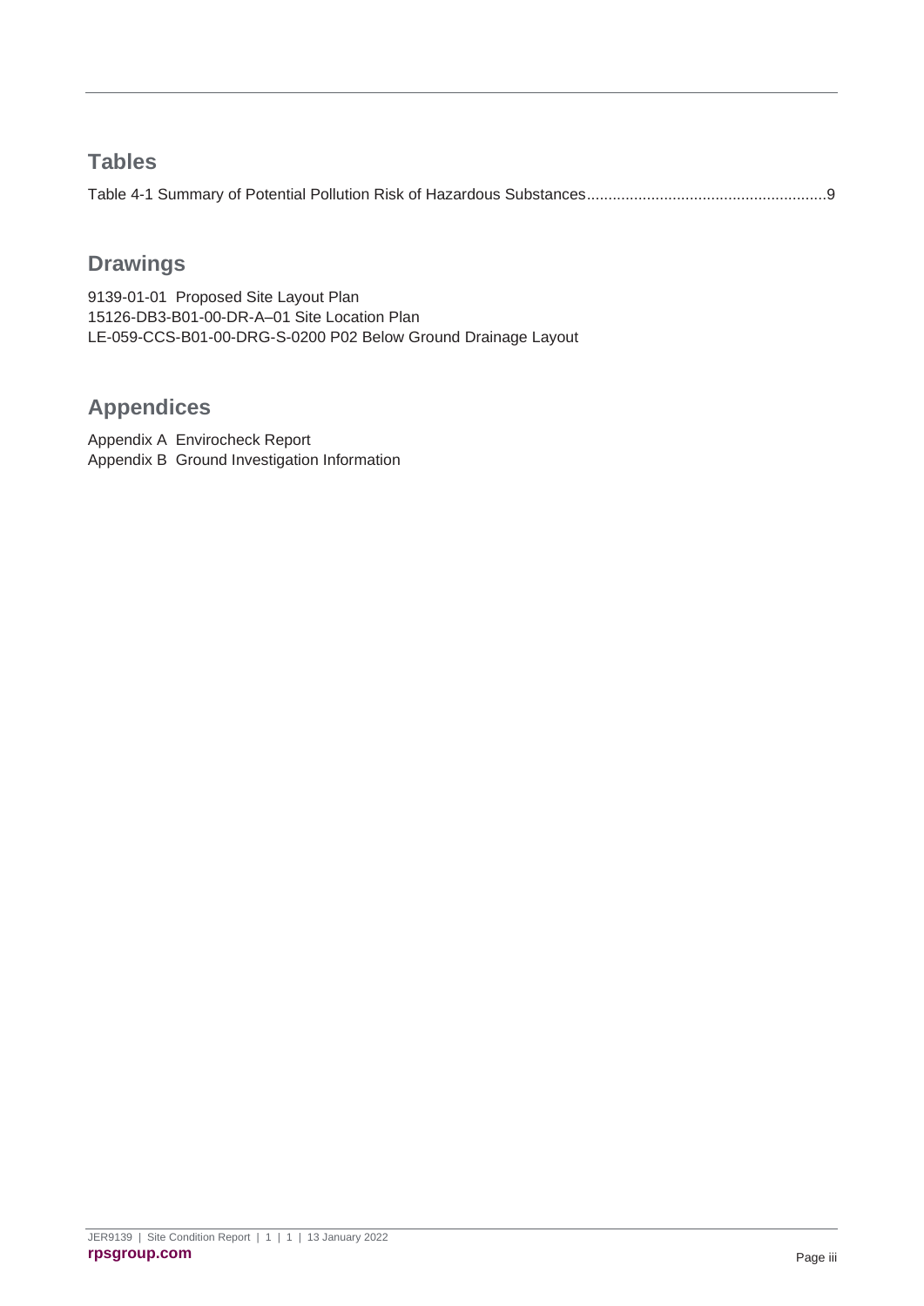### **Tables**

### **Drawings**

9139-01-01 [Proposed Site Layout Plan](#page-25-0) [15126-DB3-B01-00-DR-A–01 Site Location Plan](#page-25-1) [LE-059-CCS-B01-00-DRG-S-0200 P02](#page-25-2) Below Ground Drainage Layout

## **Appendices**

Appendix A [Envirocheck Report](#page-27-0) Appendix B [Ground Investigation Information](#page-28-0)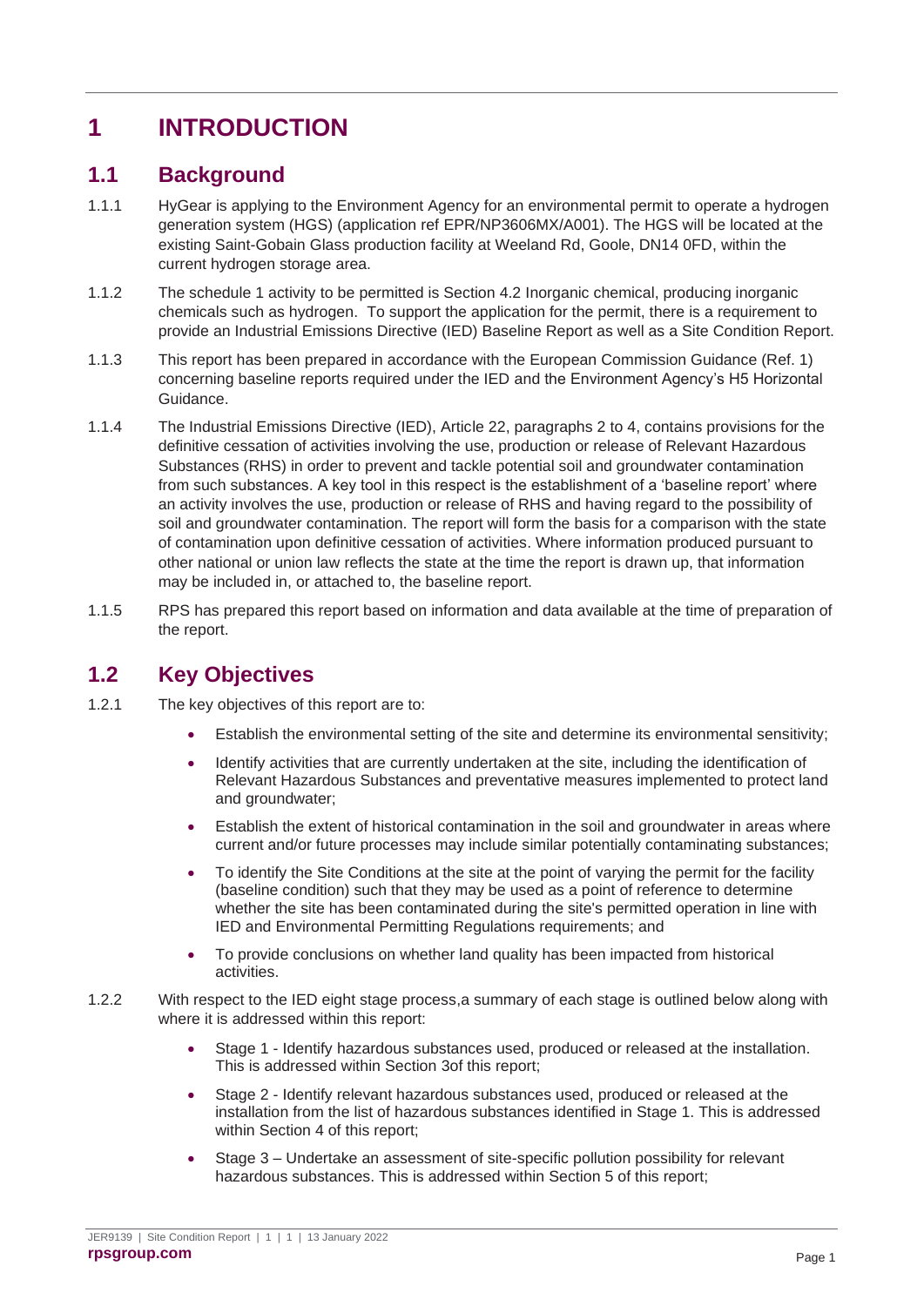## <span id="page-4-0"></span>**1 INTRODUCTION**

### <span id="page-4-1"></span>**1.1 Background**

- 1.1.1 HyGear is applying to the Environment Agency for an environmental permit to operate a hydrogen generation system (HGS) (application ref EPR/NP3606MX/A001). The HGS will be located at the existing Saint-Gobain Glass production facility at Weeland Rd, Goole, DN14 0FD, within the current hydrogen storage area.
- 1.1.2 The schedule 1 activity to be permitted is Section 4.2 Inorganic chemical, producing inorganic chemicals such as hydrogen. To support the application for the permit, there is a requirement to provide an Industrial Emissions Directive (IED) Baseline Report as well as a Site Condition Report.
- 1.1.3 This report has been prepared in accordance with the European Commission Guidance (Ref. 1) concerning baseline reports required under the IED and the Environment Agency's H5 Horizontal Guidance.
- 1.1.4 The Industrial Emissions Directive (IED), Article 22, paragraphs 2 to 4, contains provisions for the definitive cessation of activities involving the use, production or release of Relevant Hazardous Substances (RHS) in order to prevent and tackle potential soil and groundwater contamination from such substances. A key tool in this respect is the establishment of a 'baseline report' where an activity involves the use, production or release of RHS and having regard to the possibility of soil and groundwater contamination. The report will form the basis for a comparison with the state of contamination upon definitive cessation of activities. Where information produced pursuant to other national or union law reflects the state at the time the report is drawn up, that information may be included in, or attached to, the baseline report.
- 1.1.5 RPS has prepared this report based on information and data available at the time of preparation of the report.

### <span id="page-4-2"></span>**1.2 Key Objectives**

- 1.2.1 The key objectives of this report are to:
	- Establish the environmental setting of the site and determine its environmental sensitivity;
	- Identify activities that are currently undertaken at the site, including the identification of Relevant Hazardous Substances and preventative measures implemented to protect land and groundwater;
	- Establish the extent of historical contamination in the soil and groundwater in areas where current and/or future processes may include similar potentially contaminating substances;
	- To identify the Site Conditions at the site at the point of varying the permit for the facility (baseline condition) such that they may be used as a point of reference to determine whether the site has been contaminated during the site's permitted operation in line with IED and Environmental Permitting Regulations requirements; and
	- To provide conclusions on whether land quality has been impacted from historical activities.
- 1.2.2 With respect to the IED eight stage process,a summary of each stage is outlined below along with where it is addressed within this report:
	- Stage 1 Identify hazardous substances used, produced or released at the installation. This is addressed within Section [3o](#page-9-0)f this report;
	- Stage 2 Identify relevant hazardous substances used, produced or released at the installation from the list of hazardous substances identified in Stage 1. This is addressed within Section 4 of this report:
	- Stage 3 Undertake an assessment of site-specific pollution possibility for relevant hazardous substances. This is addressed within Section 5 of this report;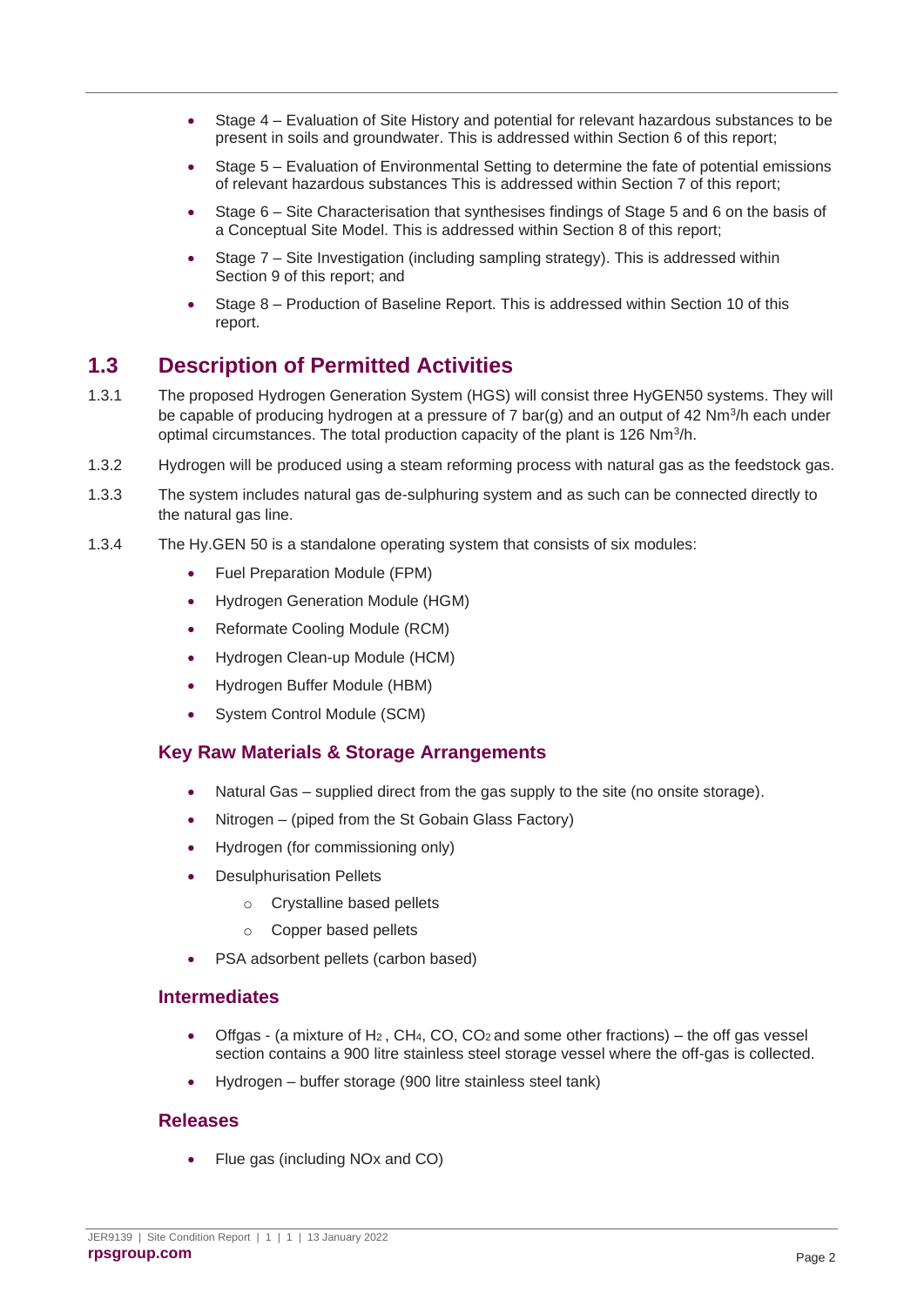- Stage 4 Evaluation of Site History and potential for relevant hazardous substances to be present in soils and groundwater. This is addressed within Section 6 of this report;
- Stage 5 Evaluation of Environmental Setting to determine the fate of potential emissions of relevant hazardous substances This is addressed within Section 7 of this report;
- Stage 6 Site Characterisation that synthesises findings of Stage 5 and 6 on the basis of a Conceptual Site Model. This is addressed within Section 8 of this report;
- Stage 7 Site Investigation (including sampling strategy). This is addressed within Section 9 of this report; and
- Stage 8 Production of Baseline Report. This is addressed within Section 10 of this report.

### <span id="page-5-0"></span>**1.3 Description of Permitted Activities**

- 1.3.1 The proposed Hydrogen Generation System (HGS) will consist three HyGEN50 systems. They will be capable of producing hydrogen at a pressure of 7 bar(g) and an output of 42  $Nm^{3}/h$  each under optimal circumstances. The total production capacity of the plant is 126 Nm<sup>3</sup>/h.
- 1.3.2 Hydrogen will be produced using a steam reforming process with natural gas as the feedstock gas.
- 1.3.3 The system includes natural gas de-sulphuring system and as such can be connected directly to the natural gas line.
- 1.3.4 The Hy.GEN 50 is a standalone operating system that consists of six modules:
	- Fuel Preparation Module (FPM)
	- Hydrogen Generation Module (HGM)
	- Reformate Cooling Module (RCM)
	- Hydrogen Clean-up Module (HCM)
	- Hydrogen Buffer Module (HBM)
	- System Control Module (SCM)

### **Key Raw Materials & Storage Arrangements**

- Natural Gas supplied direct from the gas supply to the site (no onsite storage).
- Nitrogen (piped from the St Gobain Glass Factory)
- Hydrogen (for commissioning only)
- Desulphurisation Pellets
	- o Crystalline based pellets
	- o Copper based pellets
- PSA adsorbent pellets (carbon based)

#### **Intermediates**

- Offgas (a mixture of H<sub>2</sub>, CH<sub>4</sub>, CO, CO<sub>2</sub> and some other fractions) the off gas vessel section contains a 900 litre stainless steel storage vessel where the off-gas is collected.
- Hydrogen buffer storage (900 litre stainless steel tank)

#### **Releases**

• Flue gas (including NOx and CO)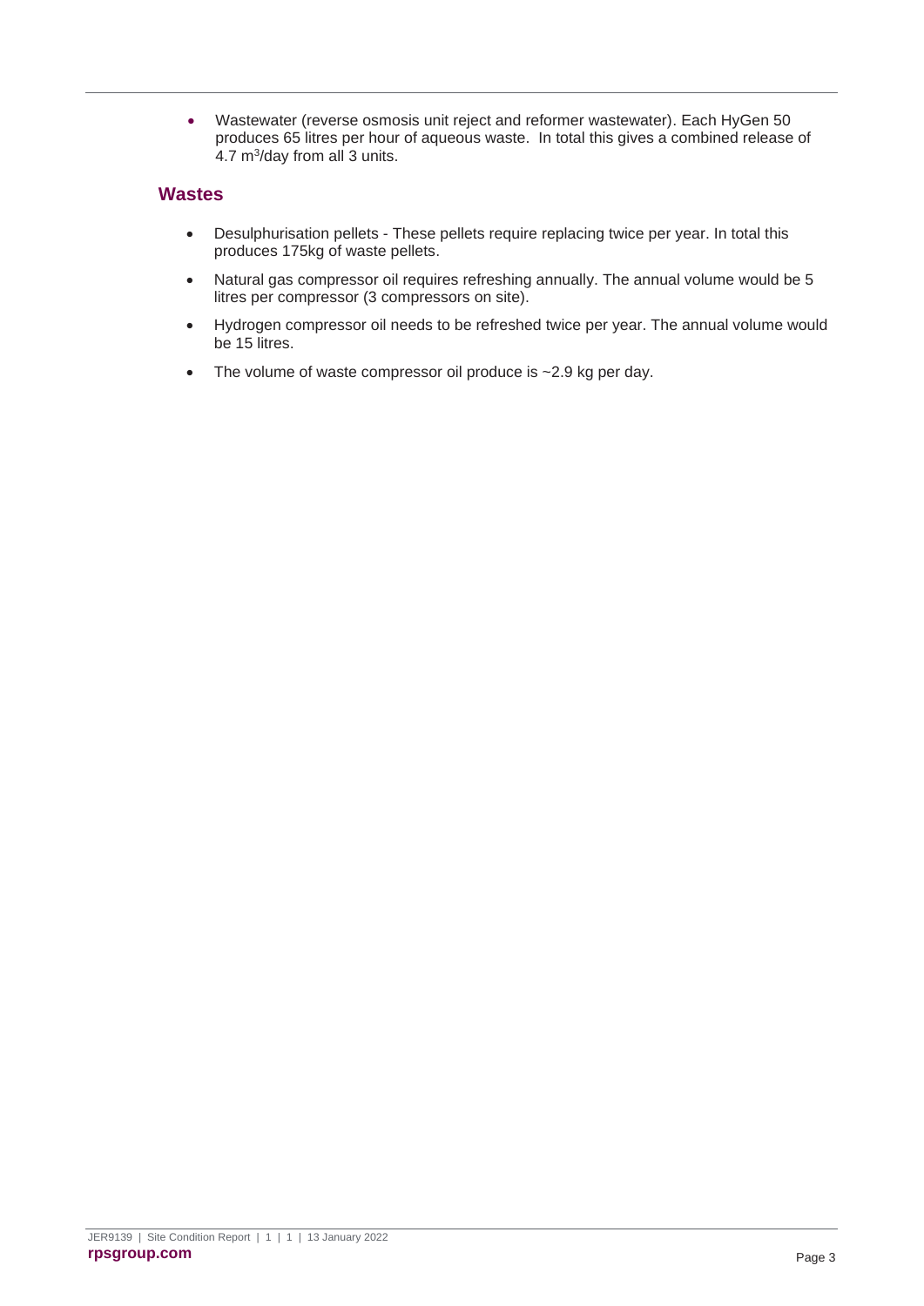• Wastewater (reverse osmosis unit reject and reformer wastewater). Each HyGen 50 produces 65 litres per hour of aqueous waste. In total this gives a combined release of 4.7 m<sup>3</sup> /day from all 3 units.

#### **Wastes**

- Desulphurisation pellets These pellets require replacing twice per year. In total this produces 175kg of waste pellets.
- Natural gas compressor oil requires refreshing annually. The annual volume would be 5 litres per compressor (3 compressors on site).
- Hydrogen compressor oil needs to be refreshed twice per year. The annual volume would be 15 litres.
- The volume of waste compressor oil produce is ~2.9 kg per day.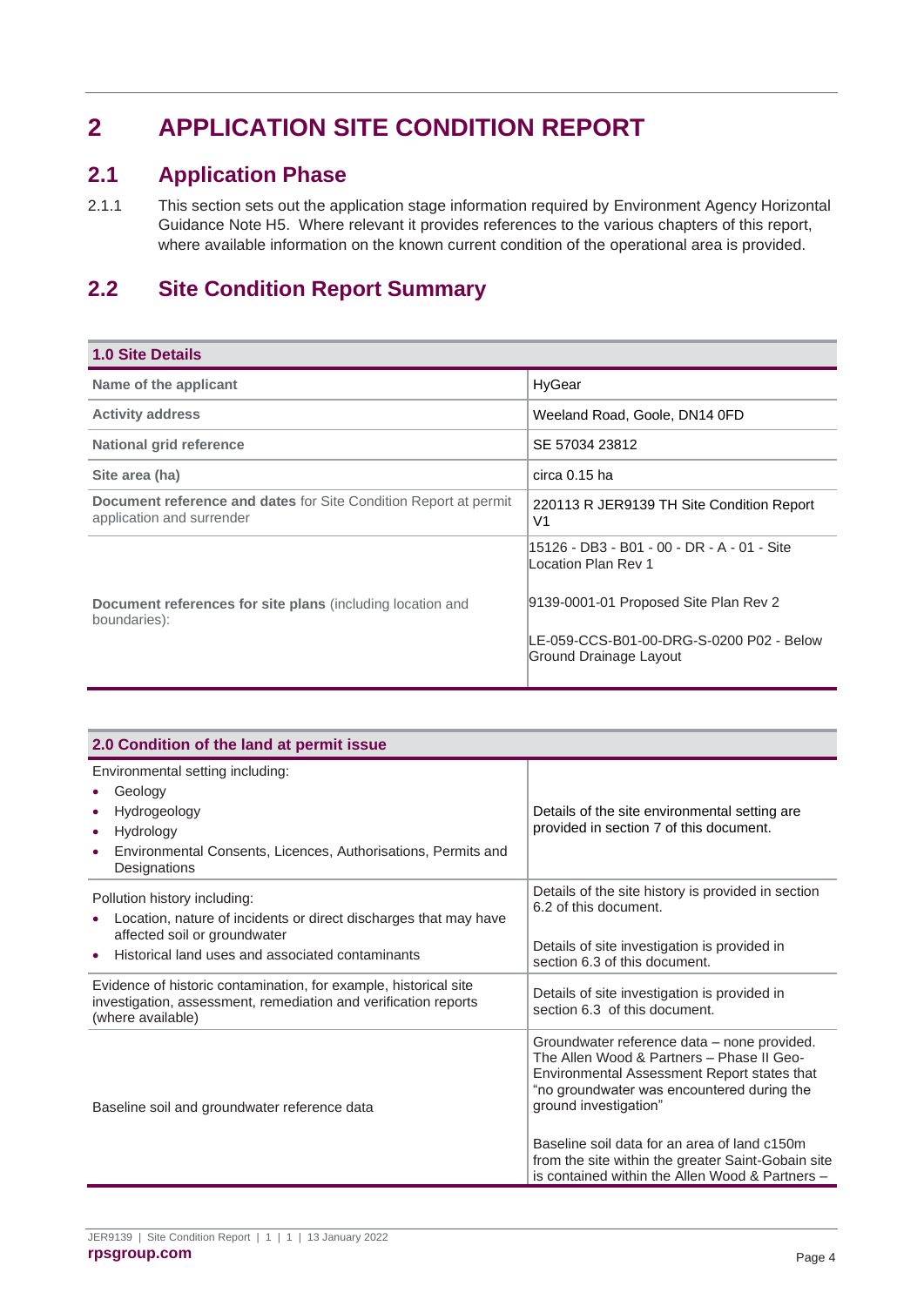## <span id="page-7-0"></span>**2 APPLICATION SITE CONDITION REPORT**

### <span id="page-7-1"></span>**2.1 Application Phase**

2.1.1 This section sets out the application stage information required by Environment Agency Horizontal Guidance Note H5. Where relevant it provides references to the various chapters of this report, where available information on the known current condition of the operational area is provided.

## <span id="page-7-2"></span>**2.2 Site Condition Report Summary**

| <b>1.0 Site Details</b>                                                                              |                                                                    |  |
|------------------------------------------------------------------------------------------------------|--------------------------------------------------------------------|--|
| Name of the applicant                                                                                | HyGear                                                             |  |
| <b>Activity address</b>                                                                              | Weeland Road, Goole, DN14 0FD                                      |  |
| <b>National grid reference</b>                                                                       | SE 57034 23812                                                     |  |
| Site area (ha)                                                                                       | circa 0.15 ha                                                      |  |
| <b>Document reference and dates for Site Condition Report at permit</b><br>application and surrender | 220113 R JER9139 TH Site Condition Report<br>V1                    |  |
|                                                                                                      | 15126 - DB3 - B01 - 00 - DR - A - 01 - Site<br>Location Plan Rev 1 |  |
| <b>Document references for site plans (including location and</b><br>boundaries):                    | 9139-0001-01 Proposed Site Plan Rev 2                              |  |
|                                                                                                      | LE-059-CCS-B01-00-DRG-S-0200 P02 - Below<br>Ground Drainage Layout |  |

| 2.0 Condition of the land at permit issue                                                                                                                                            |                                                                                                                                                                                                                                                                                                                                                                         |  |  |
|--------------------------------------------------------------------------------------------------------------------------------------------------------------------------------------|-------------------------------------------------------------------------------------------------------------------------------------------------------------------------------------------------------------------------------------------------------------------------------------------------------------------------------------------------------------------------|--|--|
| Environmental setting including:<br>Geology<br>Hydrogeology<br>Hydrology<br>$\bullet$<br>Environmental Consents, Licences, Authorisations, Permits and<br>Designations               | Details of the site environmental setting are<br>provided in section 7 of this document.                                                                                                                                                                                                                                                                                |  |  |
| Pollution history including:<br>Location, nature of incidents or direct discharges that may have<br>affected soil or groundwater<br>Historical land uses and associated contaminants | Details of the site history is provided in section<br>6.2 of this document.<br>Details of site investigation is provided in<br>section 6.3 of this document.                                                                                                                                                                                                            |  |  |
| Evidence of historic contamination, for example, historical site<br>investigation, assessment, remediation and verification reports<br>(where available)                             | Details of site investigation is provided in<br>section 6.3 of this document.                                                                                                                                                                                                                                                                                           |  |  |
| Baseline soil and groundwater reference data                                                                                                                                         | Groundwater reference data – none provided.<br>The Allen Wood & Partners - Phase II Geo-<br>Environmental Assessment Report states that<br>"no groundwater was encountered during the<br>ground investigation"<br>Baseline soil data for an area of land c150m<br>from the site within the greater Saint-Gobain site<br>is contained within the Allen Wood & Partners - |  |  |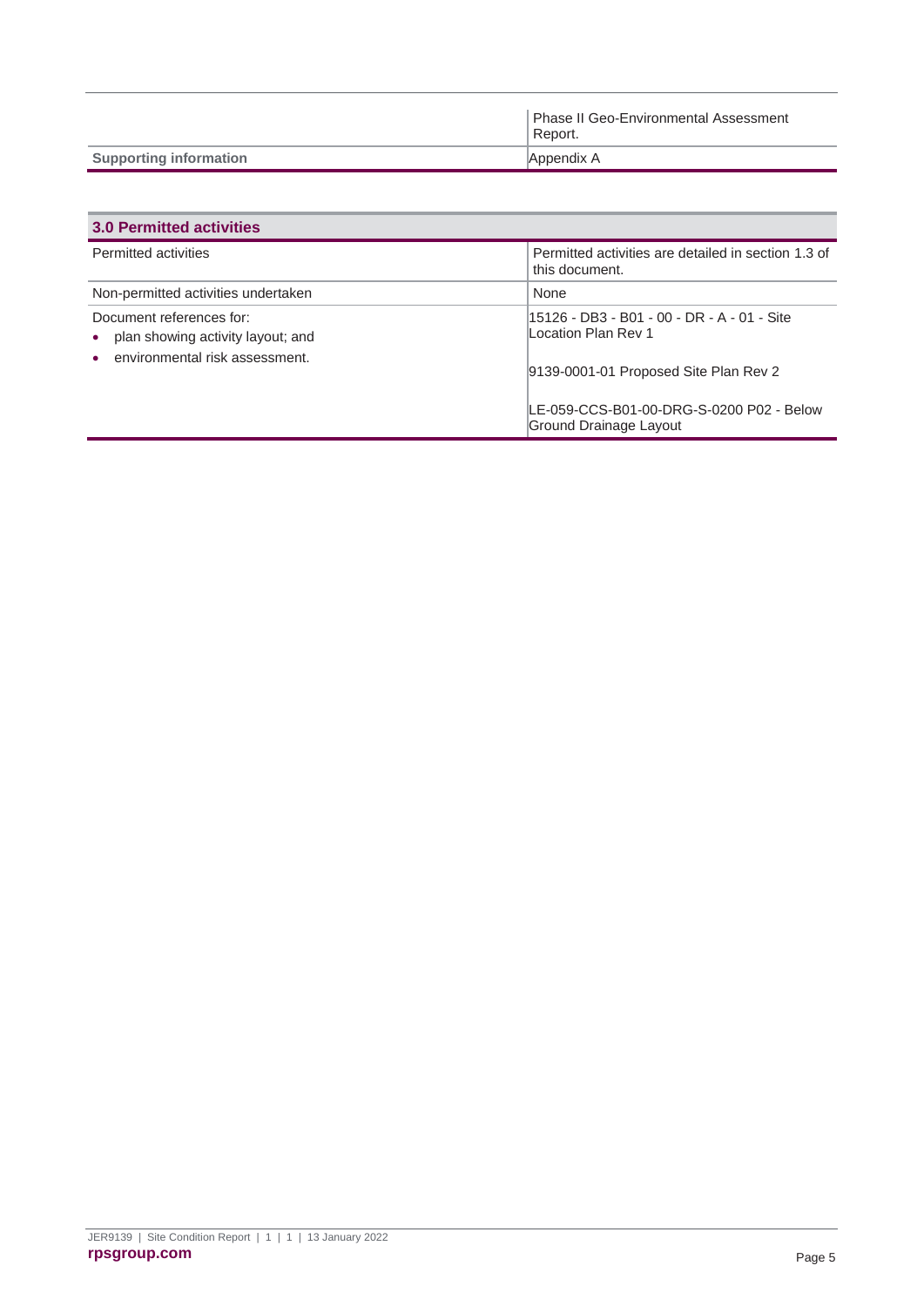|                               | Phase II Geo-Environmental Assessment<br>Report. |
|-------------------------------|--------------------------------------------------|
| <b>Supporting information</b> | Appendix A                                       |

| <b>3.0 Permitted activities</b>                                                                 |                                                                                                              |  |  |
|-------------------------------------------------------------------------------------------------|--------------------------------------------------------------------------------------------------------------|--|--|
| <b>Permitted activities</b>                                                                     | Permitted activities are detailed in section 1.3 of<br>this document.                                        |  |  |
| Non-permitted activities undertaken                                                             | None                                                                                                         |  |  |
| Document references for:<br>plan showing activity layout; and<br>environmental risk assessment. | 115126 - DB3 - B01 - 00 - DR - A - 01 - Site<br>Location Plan Rev 1<br>9139-0001-01 Proposed Site Plan Rev 2 |  |  |
|                                                                                                 | LE-059-CCS-B01-00-DRG-S-0200 P02 - Below<br>Ground Drainage Layout                                           |  |  |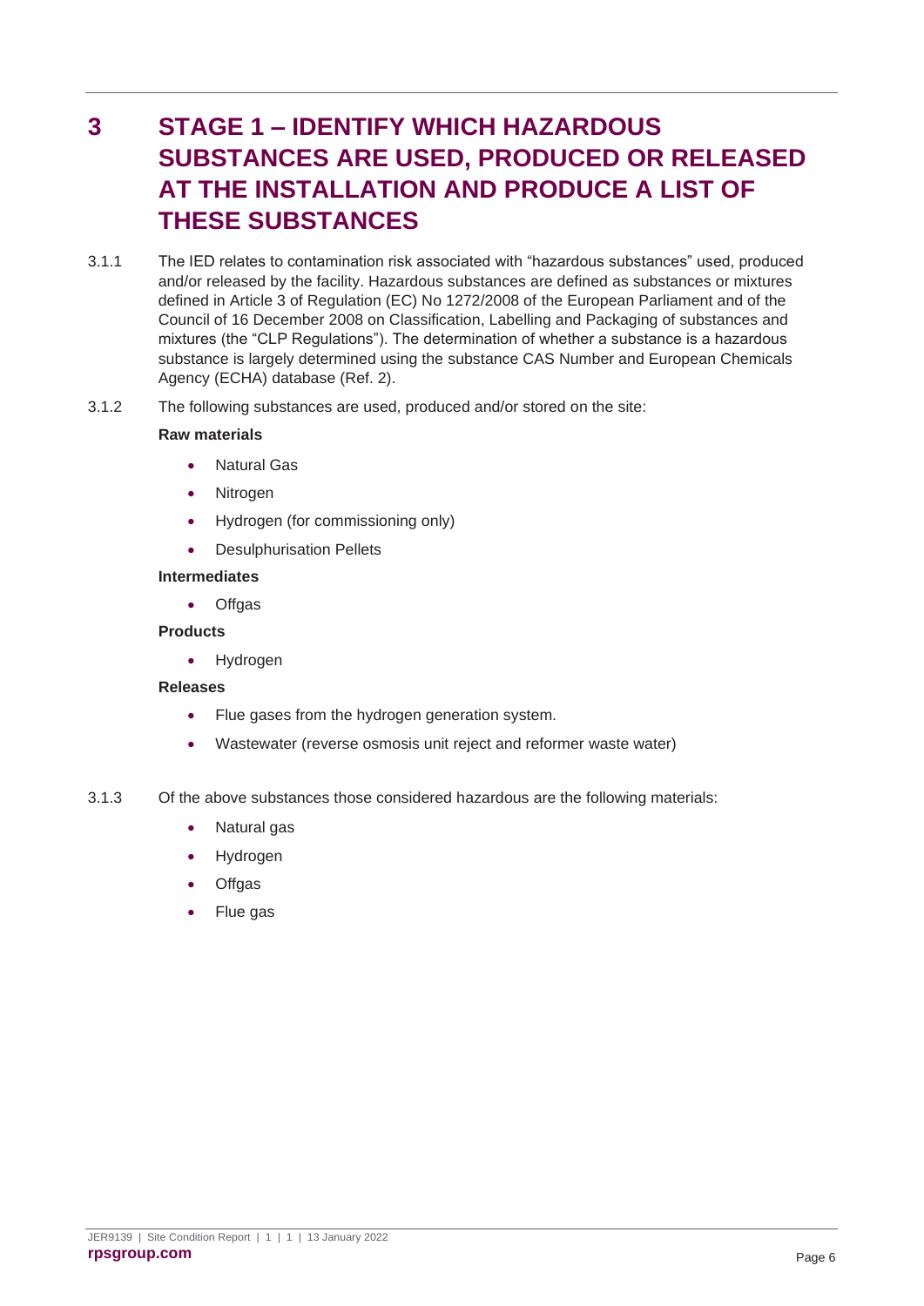## <span id="page-9-0"></span>**3 STAGE 1 – IDENTIFY WHICH HAZARDOUS SUBSTANCES ARE USED, PRODUCED OR RELEASED AT THE INSTALLATION AND PRODUCE A LIST OF THESE SUBSTANCES**

- 3.1.1 The IED relates to contamination risk associated with "hazardous substances" used, produced and/or released by the facility. Hazardous substances are defined as substances or mixtures defined in Article 3 of Regulation (EC) No 1272/2008 of the European Parliament and of the Council of 16 December 2008 on Classification, Labelling and Packaging of substances and mixtures (the "CLP Regulations"). The determination of whether a substance is a hazardous substance is largely determined using the substance CAS Number and European Chemicals Agency (ECHA) database (Ref. 2).
- 3.1.2 The following substances are used, produced and/or stored on the site:

#### **Raw materials**

- Natural Gas
- Nitrogen
- Hydrogen (for commissioning only)
- Desulphurisation Pellets

#### **Intermediates**

• Offgas

#### **Products**

• Hydrogen

#### **Releases**

- Flue gases from the hydrogen generation system.
- Wastewater (reverse osmosis unit reject and reformer waste water)
- 3.1.3 Of the above substances those considered hazardous are the following materials:
	- Natural gas
	- Hydrogen
	- Offgas
	- Flue gas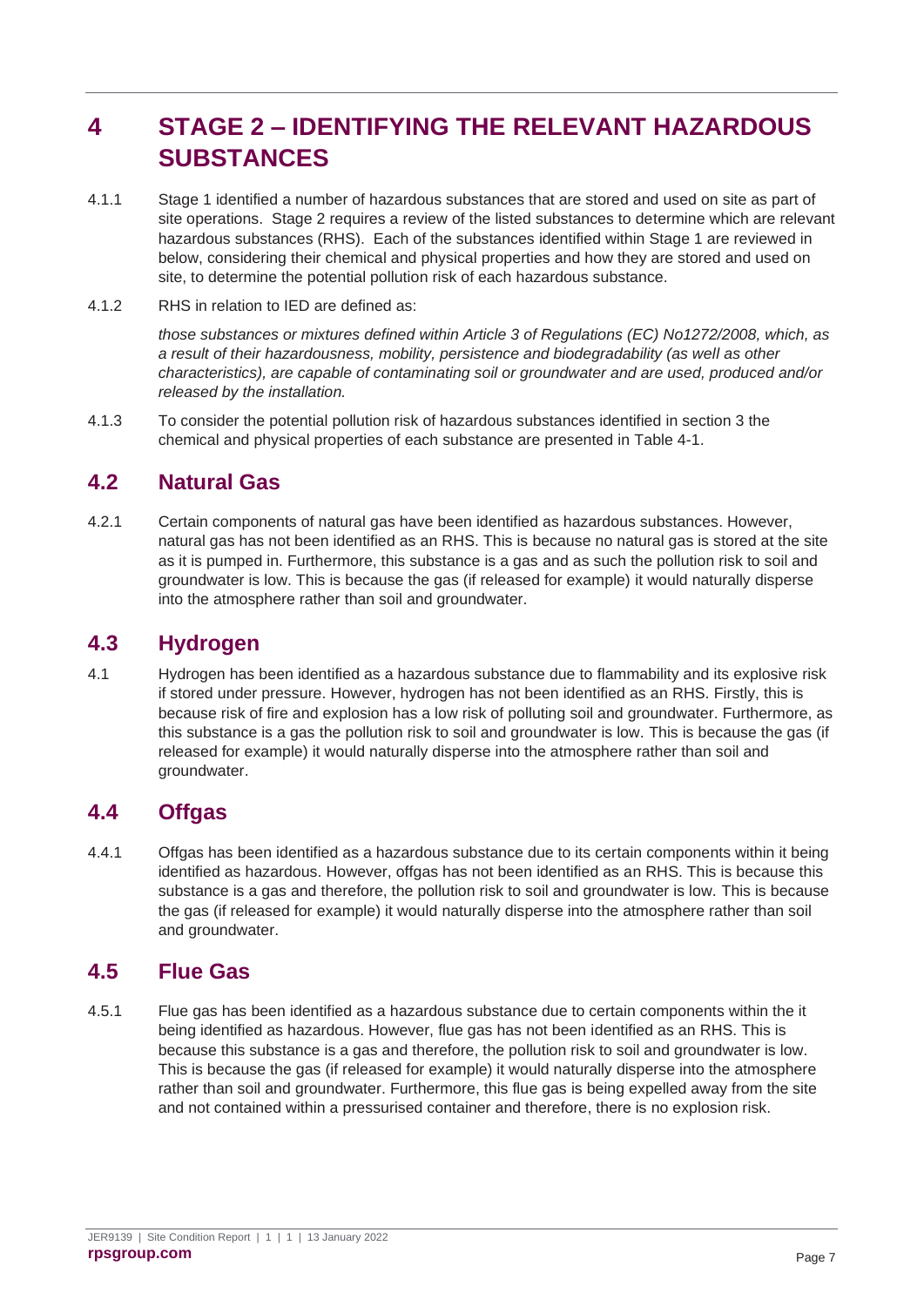## <span id="page-10-0"></span>**4 STAGE 2 – IDENTIFYING THE RELEVANT HAZARDOUS SUBSTANCES**

- 4.1.1 Stage 1 identified a number of hazardous substances that are stored and used on site as part of site operations. Stage 2 requires a review of the listed substances to determine which are relevant hazardous substances (RHS). Each of the substances identified within Stage 1 are reviewed in below, considering their chemical and physical properties and how they are stored and used on site, to determine the potential pollution risk of each hazardous substance.
- 4.1.2 RHS in relation to IED are defined as:

*those substances or mixtures defined within Article 3 of Regulations (EC) No1272/2008, which, as a result of their hazardousness, mobility, persistence and biodegradability (as well as other characteristics), are capable of contaminating soil or groundwater and are used, produced and/or released by the installation.*

4.1.3 To consider the potential pollution risk of hazardous substances identified in section 3 the chemical and physical properties of each substance are presented in [Table 4-1.](#page-12-0)

### <span id="page-10-1"></span>**4.2 Natural Gas**

4.2.1 Certain components of natural gas have been identified as hazardous substances. However, natural gas has not been identified as an RHS. This is because no natural gas is stored at the site as it is pumped in. Furthermore, this substance is a gas and as such the pollution risk to soil and groundwater is low. This is because the gas (if released for example) it would naturally disperse into the atmosphere rather than soil and groundwater.

### <span id="page-10-2"></span>**4.3 Hydrogen**

4.1 Hydrogen has been identified as a hazardous substance due to flammability and its explosive risk if stored under pressure. However, hydrogen has not been identified as an RHS. Firstly, this is because risk of fire and explosion has a low risk of polluting soil and groundwater. Furthermore, as this substance is a gas the pollution risk to soil and groundwater is low. This is because the gas (if released for example) it would naturally disperse into the atmosphere rather than soil and groundwater.

### <span id="page-10-3"></span>**4.4 Offgas**

4.4.1 Offgas has been identified as a hazardous substance due to its certain components within it being identified as hazardous. However, offgas has not been identified as an RHS. This is because this substance is a gas and therefore, the pollution risk to soil and groundwater is low. This is because the gas (if released for example) it would naturally disperse into the atmosphere rather than soil and groundwater.

### <span id="page-10-4"></span>**4.5 Flue Gas**

4.5.1 Flue gas has been identified as a hazardous substance due to certain components within the it being identified as hazardous. However, flue gas has not been identified as an RHS. This is because this substance is a gas and therefore, the pollution risk to soil and groundwater is low. This is because the gas (if released for example) it would naturally disperse into the atmosphere rather than soil and groundwater. Furthermore, this flue gas is being expelled away from the site and not contained within a pressurised container and therefore, there is no explosion risk.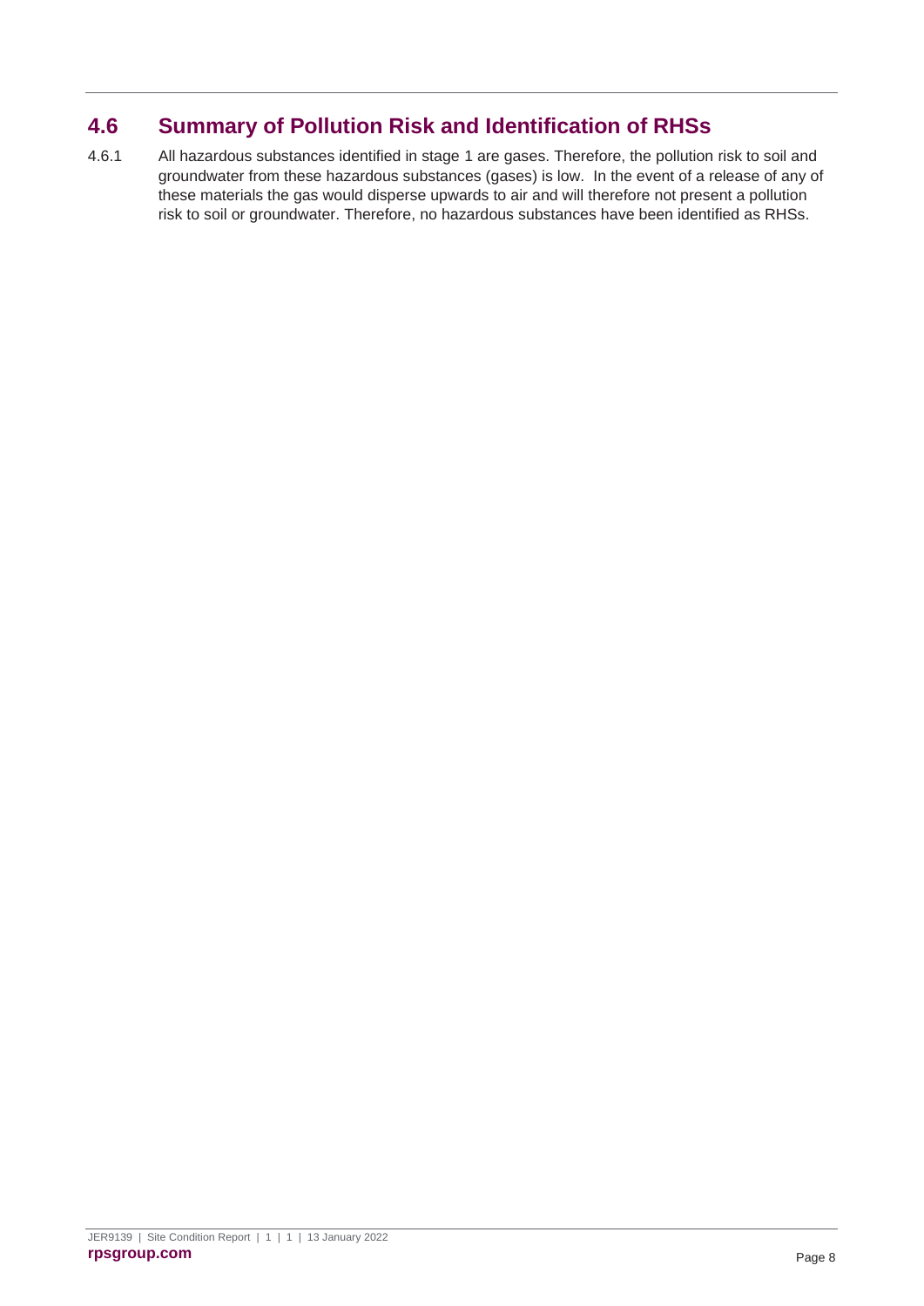## <span id="page-11-0"></span>**4.6 Summary of Pollution Risk and Identification of RHSs**

4.6.1 All hazardous substances identified in stage 1 are gases. Therefore, the pollution risk to soil and groundwater from these hazardous substances (gases) is low. In the event of a release of any of these materials the gas would disperse upwards to air and will therefore not present a pollution risk to soil or groundwater. Therefore, no hazardous substances have been identified as RHSs.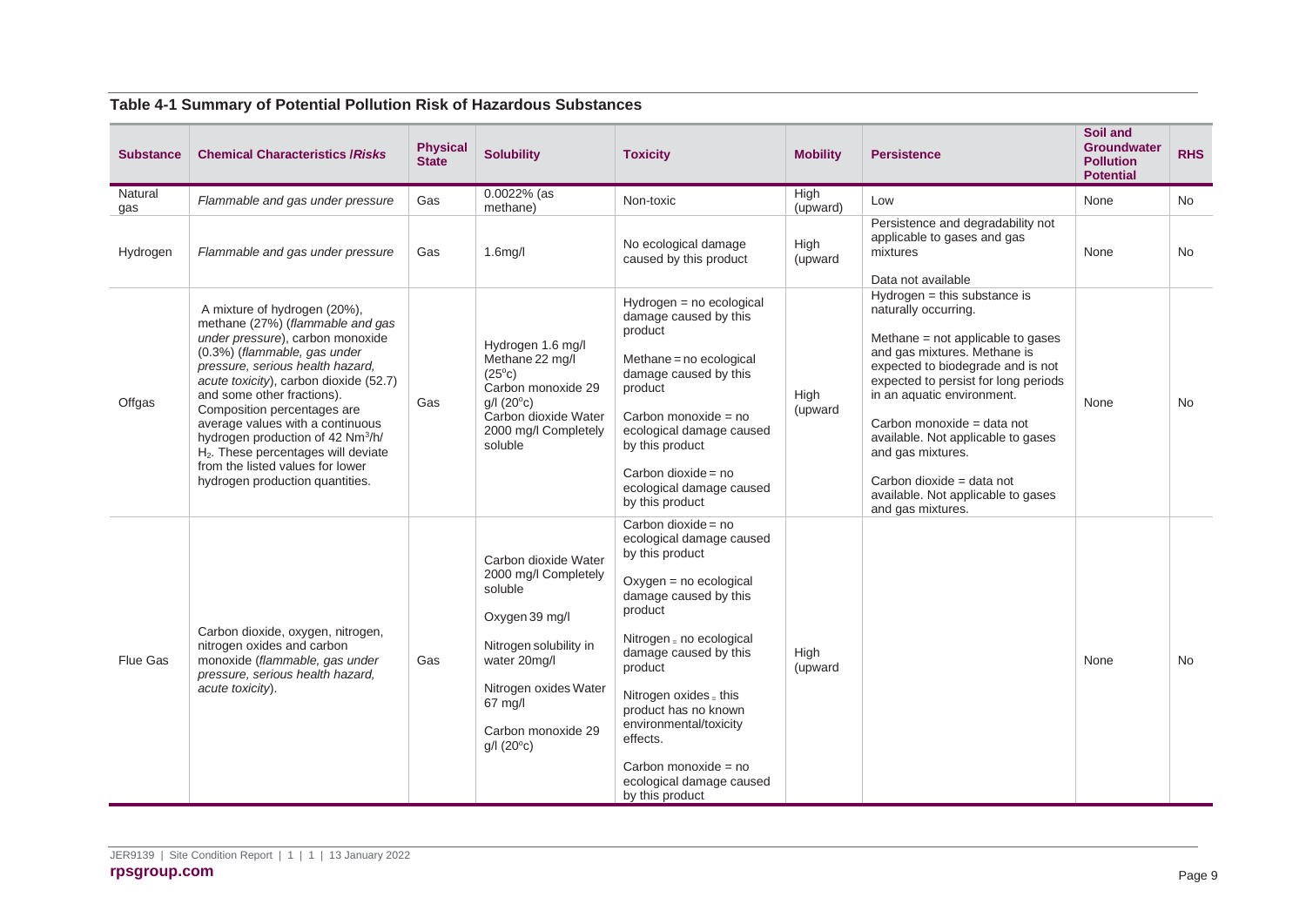<span id="page-12-0"></span>

| <b>Substance</b> | <b>Chemical Characteristics / Risks</b>                                                                                                                                                                                                                                                                                                                                                                                                                                                        | <b>Physical</b><br><b>State</b> | <b>Solubility</b>                                                                                                                                                                                       | <b>Toxicity</b>                                                                                                                                                                                                                                                                                                                                                         | <b>Mobility</b>  | <b>Persistence</b>                                                                                                                                                                                                                                                                                                                                                                                                      | Soil and<br><b>Groundwater</b><br><b>Pollution</b><br><b>Potential</b> | <b>RHS</b> |
|------------------|------------------------------------------------------------------------------------------------------------------------------------------------------------------------------------------------------------------------------------------------------------------------------------------------------------------------------------------------------------------------------------------------------------------------------------------------------------------------------------------------|---------------------------------|---------------------------------------------------------------------------------------------------------------------------------------------------------------------------------------------------------|-------------------------------------------------------------------------------------------------------------------------------------------------------------------------------------------------------------------------------------------------------------------------------------------------------------------------------------------------------------------------|------------------|-------------------------------------------------------------------------------------------------------------------------------------------------------------------------------------------------------------------------------------------------------------------------------------------------------------------------------------------------------------------------------------------------------------------------|------------------------------------------------------------------------|------------|
| Natural<br>qas   | Flammable and gas under pressure                                                                                                                                                                                                                                                                                                                                                                                                                                                               | Gas                             | $0.0022%$ (as<br>methane)                                                                                                                                                                               | Non-toxic                                                                                                                                                                                                                                                                                                                                                               | High<br>(upward) | Low                                                                                                                                                                                                                                                                                                                                                                                                                     | None                                                                   | <b>No</b>  |
| Hydrogen         | Flammable and gas under pressure                                                                                                                                                                                                                                                                                                                                                                                                                                                               | Gas                             | $1.6$ mg/l                                                                                                                                                                                              | No ecological damage<br>caused by this product                                                                                                                                                                                                                                                                                                                          | High<br>(upward  | Persistence and degradability not<br>applicable to gases and gas<br>mixtures<br>Data not available                                                                                                                                                                                                                                                                                                                      | None                                                                   | <b>No</b>  |
| Offgas           | A mixture of hydrogen (20%),<br>methane (27%) (flammable and gas<br>under pressure), carbon monoxide<br>(0.3%) (flammable, gas under<br>pressure, serious health hazard,<br>acute toxicity), carbon dioxide (52.7)<br>and some other fractions).<br>Composition percentages are<br>average values with a continuous<br>hydrogen production of 42 Nm <sup>3</sup> /h/<br>H <sub>2</sub> . These percentages will deviate<br>from the listed values for lower<br>hydrogen production quantities. | Gas                             | Hydrogen 1.6 mg/l<br>Methane 22 mg/l<br>$(25^{\circ}c)$<br>Carbon monoxide 29<br>$g/l$ (20 $\degree$ c)<br>Carbon dioxide Water<br>2000 mg/l Completely<br>soluble                                      | Hydrogen = no ecological<br>damage caused by this<br>product<br>Methane = no ecological<br>damage caused by this<br>product<br>Carbon monoxide = no<br>ecological damage caused<br>by this product<br>Carbon dioxide = $no$<br>ecological damage caused<br>by this product                                                                                              | High<br>(upward  | $Hydrogen = this substance is$<br>naturally occurring.<br>Methane = not applicable to gases<br>and gas mixtures. Methane is<br>expected to biodegrade and is not<br>expected to persist for long periods<br>in an aquatic environment.<br>Carbon monoxide = data not<br>available. Not applicable to gases<br>and gas mixtures.<br>Carbon dioxide = data not<br>available. Not applicable to gases<br>and gas mixtures. | None                                                                   | <b>No</b>  |
| Flue Gas         | Carbon dioxide, oxygen, nitrogen,<br>nitrogen oxides and carbon<br>monoxide (flammable, gas under<br>pressure, serious health hazard,<br>acute toxicity).                                                                                                                                                                                                                                                                                                                                      | Gas                             | Carbon dioxide Water<br>2000 mg/l Completely<br>soluble<br>Oxygen 39 mg/l<br>Nitrogen solubility in<br>water 20mg/l<br>Nitrogen oxides Water<br>67 mg/l<br>Carbon monoxide 29<br>$g/I$ (20 $\degree$ c) | Carbon dioxide = $no$<br>ecological damage caused<br>by this product<br>$Oxygen = no ecological$<br>damage caused by this<br>product<br>Nitrogen = no ecological<br>damage caused by this<br>product<br>Nitrogen oxides $=$ this<br>product has no known<br>environmental/toxicity<br>effects.<br>Carbon monoxide = $no$<br>ecological damage caused<br>by this product | High<br>(upward  |                                                                                                                                                                                                                                                                                                                                                                                                                         | None                                                                   | <b>No</b>  |

#### **Table 4-1 Summary of Potential Pollution Risk of Hazardous Substances**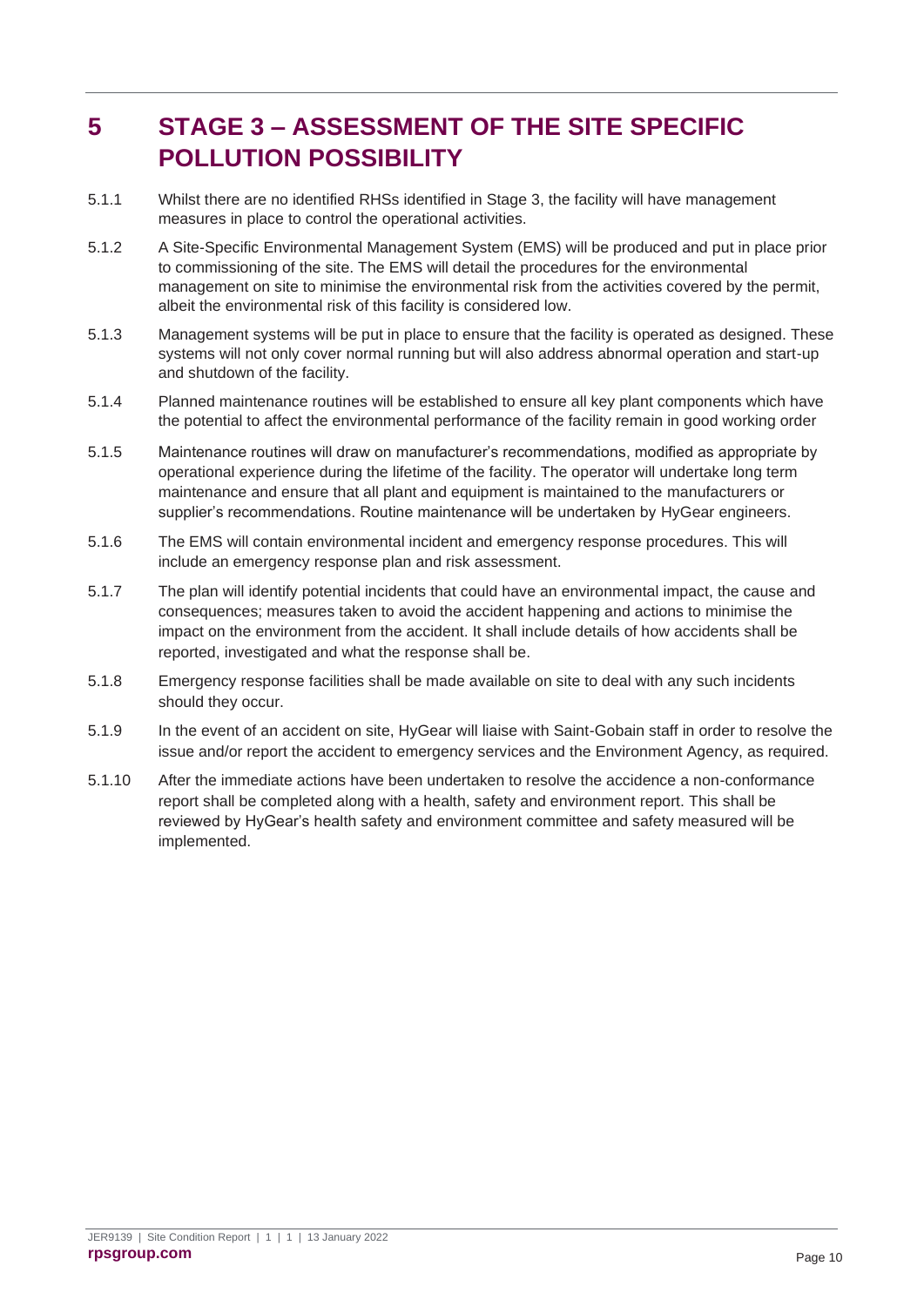## <span id="page-13-0"></span>**5 STAGE 3 – ASSESSMENT OF THE SITE SPECIFIC POLLUTION POSSIBILITY**

- 5.1.1 Whilst there are no identified RHSs identified in Stage 3, the facility will have management measures in place to control the operational activities.
- 5.1.2 A Site-Specific Environmental Management System (EMS) will be produced and put in place prior to commissioning of the site. The EMS will detail the procedures for the environmental management on site to minimise the environmental risk from the activities covered by the permit, albeit the environmental risk of this facility is considered low.
- 5.1.3 Management systems will be put in place to ensure that the facility is operated as designed. These systems will not only cover normal running but will also address abnormal operation and start-up and shutdown of the facility.
- 5.1.4 Planned maintenance routines will be established to ensure all key plant components which have the potential to affect the environmental performance of the facility remain in good working order
- 5.1.5 Maintenance routines will draw on manufacturer's recommendations, modified as appropriate by operational experience during the lifetime of the facility. The operator will undertake long term maintenance and ensure that all plant and equipment is maintained to the manufacturers or supplier's recommendations. Routine maintenance will be undertaken by HyGear engineers.
- 5.1.6 The EMS will contain environmental incident and emergency response procedures. This will include an emergency response plan and risk assessment.
- 5.1.7 The plan will identify potential incidents that could have an environmental impact, the cause and consequences; measures taken to avoid the accident happening and actions to minimise the impact on the environment from the accident. It shall include details of how accidents shall be reported, investigated and what the response shall be.
- 5.1.8 Emergency response facilities shall be made available on site to deal with any such incidents should they occur.
- 5.1.9 In the event of an accident on site, HyGear will liaise with Saint-Gobain staff in order to resolve the issue and/or report the accident to emergency services and the Environment Agency, as required.
- 5.1.10 After the immediate actions have been undertaken to resolve the accidence a non-conformance report shall be completed along with a health, safety and environment report. This shall be reviewed by HyGear's health safety and environment committee and safety measured will be implemented.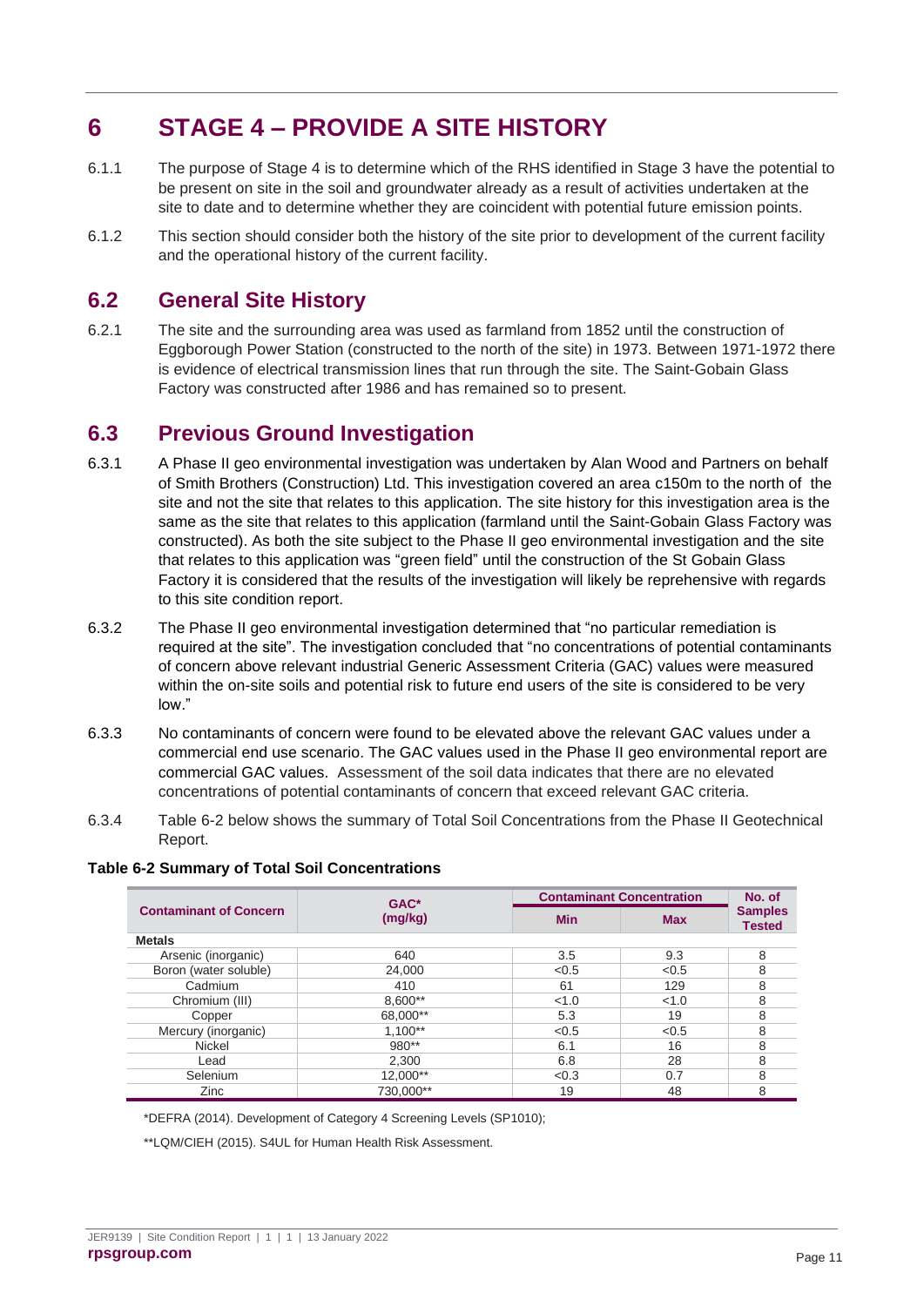## <span id="page-14-0"></span>**6 STAGE 4 – PROVIDE A SITE HISTORY**

- 6.1.1 The purpose of Stage 4 is to determine which of the RHS identified in Stage 3 have the potential to be present on site in the soil and groundwater already as a result of activities undertaken at the site to date and to determine whether they are coincident with potential future emission points.
- 6.1.2 This section should consider both the history of the site prior to development of the current facility and the operational history of the current facility.

### <span id="page-14-1"></span>**6.2 General Site History**

6.2.1 The site and the surrounding area was used as farmland from 1852 until the construction of Eggborough Power Station (constructed to the north of the site) in 1973. Between 1971-1972 there is evidence of electrical transmission lines that run through the site. The Saint-Gobain Glass Factory was constructed after 1986 and has remained so to present.

### <span id="page-14-2"></span>**6.3 Previous Ground Investigation**

- 6.3.1 A Phase II geo environmental investigation was undertaken by Alan Wood and Partners on behalf of Smith Brothers (Construction) Ltd. This investigation covered an area c150m to the north of the site and not the site that relates to this application. The site history for this investigation area is the same as the site that relates to this application (farmland until the Saint-Gobain Glass Factory was constructed). As both the site subject to the Phase II geo environmental investigation and the site that relates to this application was "green field" until the construction of the St Gobain Glass Factory it is considered that the results of the investigation will likely be reprehensive with regards to this site condition report.
- 6.3.2 The Phase II geo environmental investigation determined that "no particular remediation is required at the site". The investigation concluded that "no concentrations of potential contaminants of concern above relevant industrial Generic Assessment Criteria (GAC) values were measured within the on-site soils and potential risk to future end users of the site is considered to be very low."
- 6.3.3 No contaminants of concern were found to be elevated above the relevant GAC values under a commercial end use scenario. The GAC values used in the Phase II geo environmental report are commercial GAC values. Assessment of the soil data indicates that there are no elevated concentrations of potential contaminants of concern that exceed relevant GAC criteria.
- 6.3.4 Table 6-2 below shows the summary of Total Soil Concentrations from the Phase II Geotechnical Report.

#### **Table 6-2 Summary of Total Soil Concentrations**

|                               | $GAC*$    | <b>Contaminant Concentration</b> | No. of     |                                 |
|-------------------------------|-----------|----------------------------------|------------|---------------------------------|
| <b>Contaminant of Concern</b> | (mg/kg)   | <b>Min</b>                       | <b>Max</b> | <b>Samples</b><br><b>Tested</b> |
| <b>Metals</b>                 |           |                                  |            |                                 |
| Arsenic (inorganic)           | 640       | 3.5                              | 9.3        | 8                               |
| Boron (water soluble)         | 24.000    | < 0.5                            | < 0.5      | 8                               |
| Cadmium                       | 410       | 61                               | 129        | 8                               |
| Chromium (III)                | 8,600**   | < 1.0                            | < 1.0      | 8                               |
| Copper                        | 68,000**  | 5.3                              | 19         | 8                               |
| Mercury (inorganic)           | $1.100**$ | < 0.5                            | < 0.5      | 8                               |
| Nickel                        | $980**$   | 6.1                              | 16         | 8                               |
| Lead                          | 2.300     | 6.8                              | 28         | 8                               |
| Selenium                      | 12,000**  | < 0.3                            | 0.7        | 8                               |
| Zinc                          | 730.000** | 19                               | 48         | 8                               |

\*DEFRA (2014). Development of Category 4 Screening Levels (SP1010);

\*\*LQM/CIEH (2015). S4UL for Human Health Risk Assessment.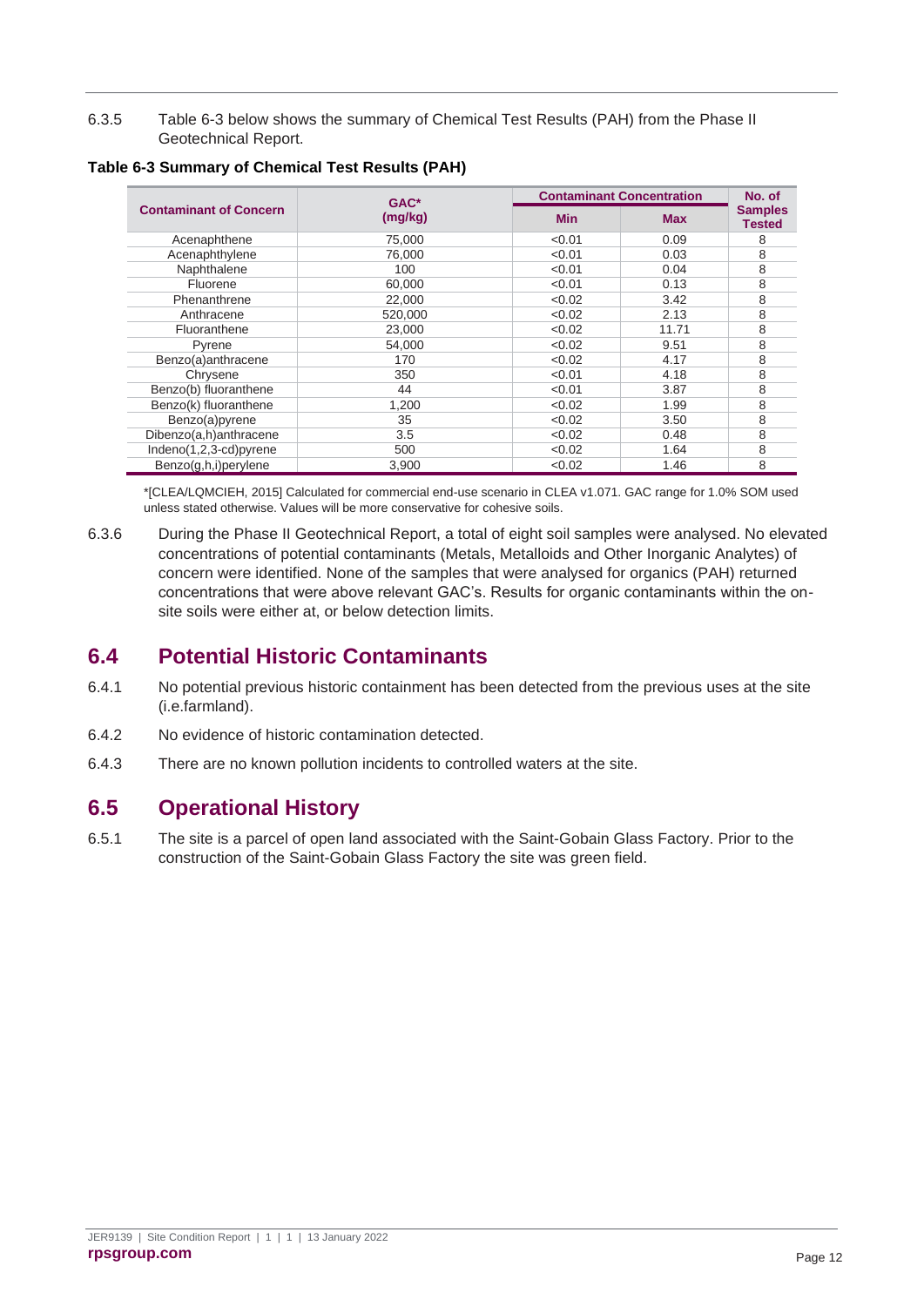6.3.5 [Table 6-3](#page-15-2) below shows the summary of Chemical Test Results (PAH) from the Phase II Geotechnical Report.

|                               | $GAC*$  |            | <b>Contaminant Concentration</b><br>No. of |                                 |
|-------------------------------|---------|------------|--------------------------------------------|---------------------------------|
| <b>Contaminant of Concern</b> | (mg/kg) | <b>Min</b> | <b>Max</b>                                 | <b>Samples</b><br><b>Tested</b> |
| Acenaphthene                  | 75.000  | < 0.01     | 0.09                                       | 8                               |
| Acenaphthylene                | 76.000  | < 0.01     | 0.03                                       | 8                               |
| Naphthalene                   | 100     | < 0.01     | 0.04                                       | 8                               |
| Fluorene                      | 60.000  | < 0.01     | 0.13                                       | 8                               |
| Phenanthrene                  | 22,000  | < 0.02     | 3.42                                       | 8                               |
| Anthracene                    | 520,000 | < 0.02     | 2.13                                       | 8                               |
| Fluoranthene                  | 23,000  | < 0.02     | 11.71                                      | 8                               |
| Pyrene                        | 54.000  | < 0.02     | 9.51                                       | 8                               |
| Benzo(a)anthracene            | 170     | < 0.02     | 4.17                                       | 8                               |
| Chrysene                      | 350     | < 0.01     | 4.18                                       | 8                               |
| Benzo(b) fluoranthene         | 44      | < 0.01     | 3.87                                       | 8                               |
| Benzo(k) fluoranthene         | 1,200   | < 0.02     | 1.99                                       | 8                               |
| Benzo(a)pyrene                | 35      | < 0.02     | 3.50                                       | 8                               |
| Dibenzo(a,h)anthracene        | 3.5     | < 0.02     | 0.48                                       | 8                               |
| Indeno(1,2,3-cd)pyrene        | 500     | < 0.02     | 1.64                                       | 8                               |
| Benzo(g,h,i)perylene          | 3,900   | < 0.02     | 1.46                                       | 8                               |

<span id="page-15-2"></span>**Table 6-3 Summary of Chemical Test Results (PAH)**

\*[CLEA/LQMCIEH, 2015] Calculated for commercial end-use scenario in CLEA v1.071. GAC range for 1.0% SOM used unless stated otherwise. Values will be more conservative for cohesive soils.

6.3.6 During the Phase II Geotechnical Report, a total of eight soil samples were analysed. No elevated concentrations of potential contaminants (Metals, Metalloids and Other Inorganic Analytes) of concern were identified. None of the samples that were analysed for organics (PAH) returned concentrations that were above relevant GAC's. Results for organic contaminants within the onsite soils were either at, or below detection limits.

### <span id="page-15-0"></span>**6.4 Potential Historic Contaminants**

- 6.4.1 No potential previous historic containment has been detected from the previous uses at the site (i.e.farmland).
- 6.4.2 No evidence of historic contamination detected.
- 6.4.3 There are no known pollution incidents to controlled waters at the site.

### <span id="page-15-1"></span>**6.5 Operational History**

6.5.1 The site is a parcel of open land associated with the Saint-Gobain Glass Factory. Prior to the construction of the Saint-Gobain Glass Factory the site was green field.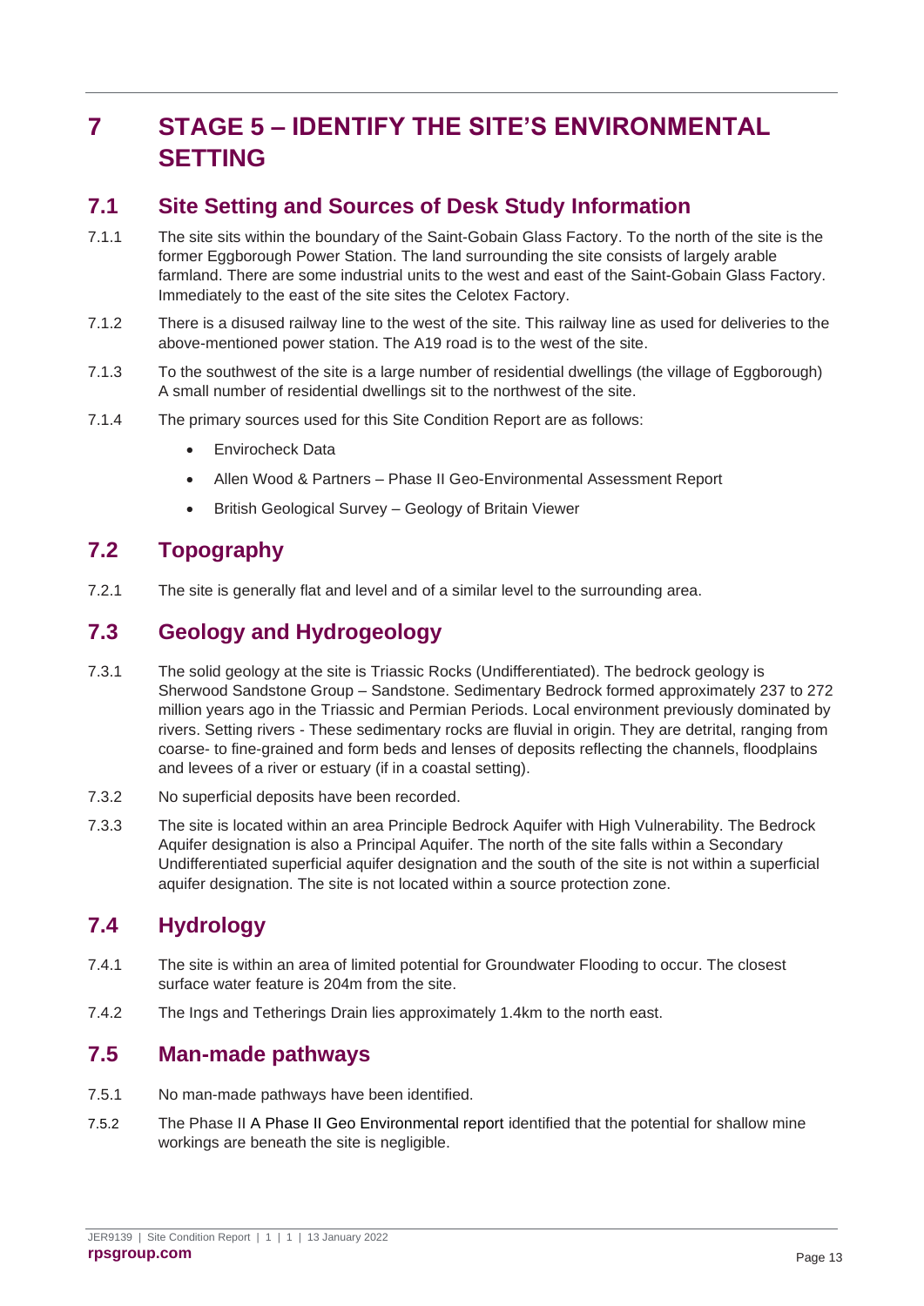## <span id="page-16-0"></span>**7 STAGE 5 – IDENTIFY THE SITE'S ENVIRONMENTAL SETTING**

### <span id="page-16-1"></span>**7.1 Site Setting and Sources of Desk Study Information**

- 7.1.1 The site sits within the boundary of the Saint-Gobain Glass Factory. To the north of the site is the former Eggborough Power Station. The land surrounding the site consists of largely arable farmland. There are some industrial units to the west and east of the Saint-Gobain Glass Factory. Immediately to the east of the site sites the Celotex Factory.
- 7.1.2 There is a disused railway line to the west of the site. This railway line as used for deliveries to the above-mentioned power station. The A19 road is to the west of the site.
- 7.1.3 To the southwest of the site is a large number of residential dwellings (the village of Eggborough) A small number of residential dwellings sit to the northwest of the site.
- 7.1.4 The primary sources used for this Site Condition Report are as follows:
	- Envirocheck Data
	- Allen Wood & Partners Phase II Geo-Environmental Assessment Report
	- British Geological Survey Geology of Britain Viewer

### <span id="page-16-2"></span>**7.2 Topography**

7.2.1 The site is generally flat and level and of a similar level to the surrounding area.

### <span id="page-16-3"></span>**7.3 Geology and Hydrogeology**

- 7.3.1 The solid geology at the site is Triassic Rocks (Undifferentiated). The bedrock geology is Sherwood Sandstone Group – Sandstone. Sedimentary Bedrock formed approximately 237 to 272 million years ago in the Triassic and Permian Periods. Local environment previously dominated by rivers. Setting rivers - These sedimentary rocks are fluvial in origin. They are detrital, ranging from coarse- to fine-grained and form beds and lenses of deposits reflecting the channels, floodplains and levees of a river or estuary (if in a coastal setting).
- 7.3.2 No superficial deposits have been recorded.
- 7.3.3 The site is located within an area Principle Bedrock Aquifer with High Vulnerability. The Bedrock Aquifer designation is also a Principal Aquifer. The north of the site falls within a Secondary Undifferentiated superficial aquifer designation and the south of the site is not within a superficial aquifer designation. The site is not located within a source protection zone.

### <span id="page-16-4"></span>**7.4 Hydrology**

- 7.4.1 The site is within an area of limited potential for Groundwater Flooding to occur. The closest surface water feature is 204m from the site.
- 7.4.2 The Ings and Tetherings Drain lies approximately 1.4km to the north east.

### <span id="page-16-5"></span>**7.5 Man-made pathways**

- 7.5.1 No man-made pathways have been identified.
- 7.5.2 The Phase II A Phase II Geo Environmental report identified that the potential for shallow mine workings are beneath the site is negligible.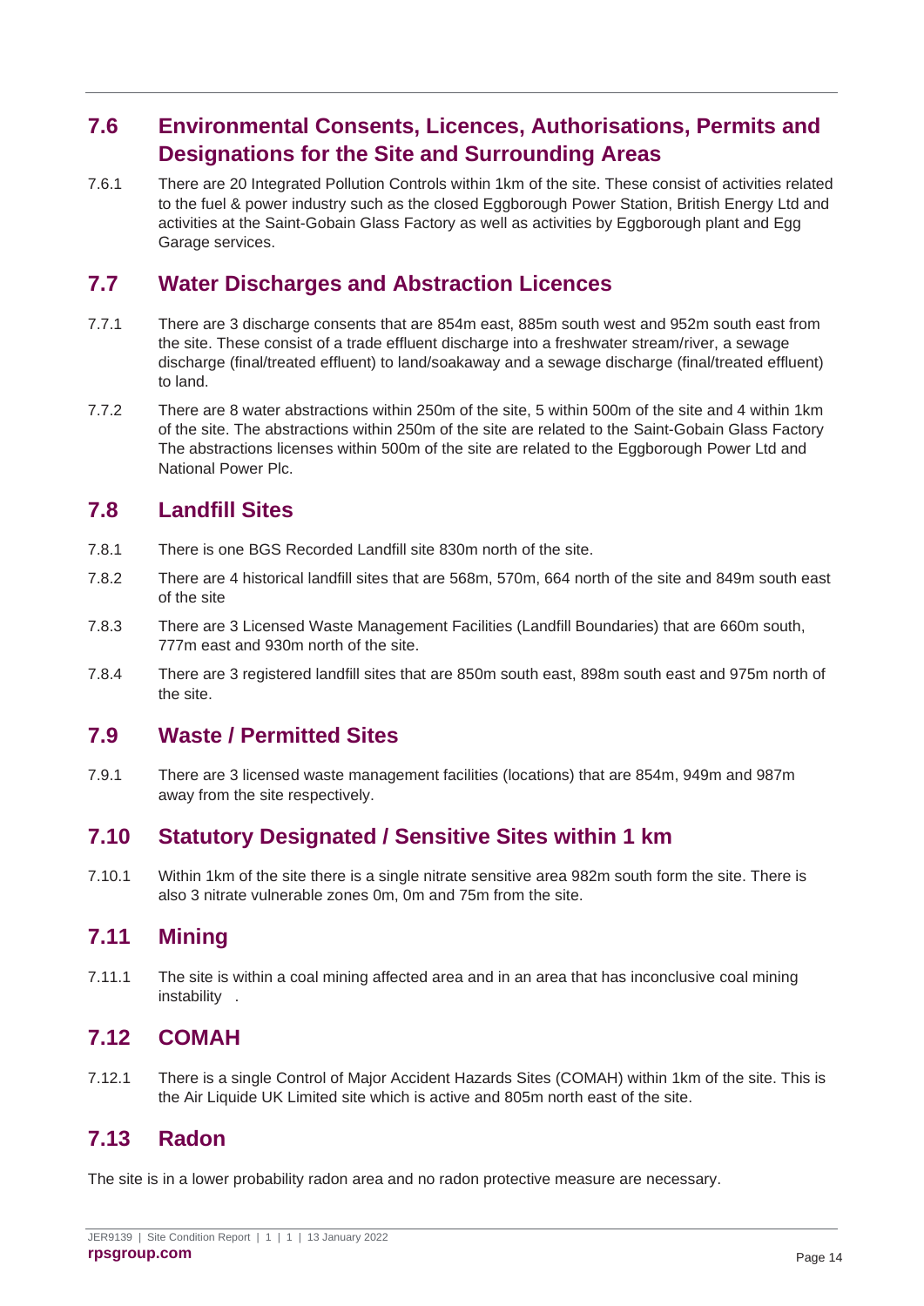### <span id="page-17-0"></span>**7.6 Environmental Consents, Licences, Authorisations, Permits and Designations for the Site and Surrounding Areas**

7.6.1 There are 20 Integrated Pollution Controls within 1km of the site. These consist of activities related to the fuel & power industry such as the closed Eggborough Power Station, British Energy Ltd and activities at the Saint-Gobain Glass Factory as well as activities by Eggborough plant and Egg Garage services.

### <span id="page-17-1"></span>**7.7 Water Discharges and Abstraction Licences**

- 7.7.1 There are 3 discharge consents that are 854m east, 885m south west and 952m south east from the site. These consist of a trade effluent discharge into a freshwater stream/river, a sewage discharge (final/treated effluent) to land/soakaway and a sewage discharge (final/treated effluent) to land.
- 7.7.2 There are 8 water abstractions within 250m of the site, 5 within 500m of the site and 4 within 1km of the site. The abstractions within 250m of the site are related to the Saint-Gobain Glass Factory The abstractions licenses within 500m of the site are related to the Eggborough Power Ltd and National Power Plc.

### <span id="page-17-2"></span>**7.8 Landfill Sites**

- 7.8.1 There is one BGS Recorded Landfill site 830m north of the site.
- 7.8.2 There are 4 historical landfill sites that are 568m, 570m, 664 north of the site and 849m south east of the site
- 7.8.3 There are 3 Licensed Waste Management Facilities (Landfill Boundaries) that are 660m south, 777m east and 930m north of the site.
- 7.8.4 There are 3 registered landfill sites that are 850m south east, 898m south east and 975m north of the site.

### <span id="page-17-3"></span>**7.9 Waste / Permitted Sites**

7.9.1 There are 3 licensed waste management facilities (locations) that are 854m, 949m and 987m away from the site respectively.

### <span id="page-17-4"></span>**7.10 Statutory Designated / Sensitive Sites within 1 km**

7.10.1 Within 1km of the site there is a single nitrate sensitive area 982m south form the site. There is also 3 nitrate vulnerable zones 0m, 0m and 75m from the site.

### <span id="page-17-5"></span>**7.11 Mining**

7.11.1 The site is within a coal mining affected area and in an area that has inconclusive coal mining instability .

### <span id="page-17-6"></span>**7.12 COMAH**

7.12.1 There is a single Control of Major Accident Hazards Sites (COMAH) within 1km of the site. This is the Air Liquide UK Limited site which is active and 805m north east of the site.

### <span id="page-17-7"></span>**7.13 Radon**

The site is in a lower probability radon area and no radon protective measure are necessary.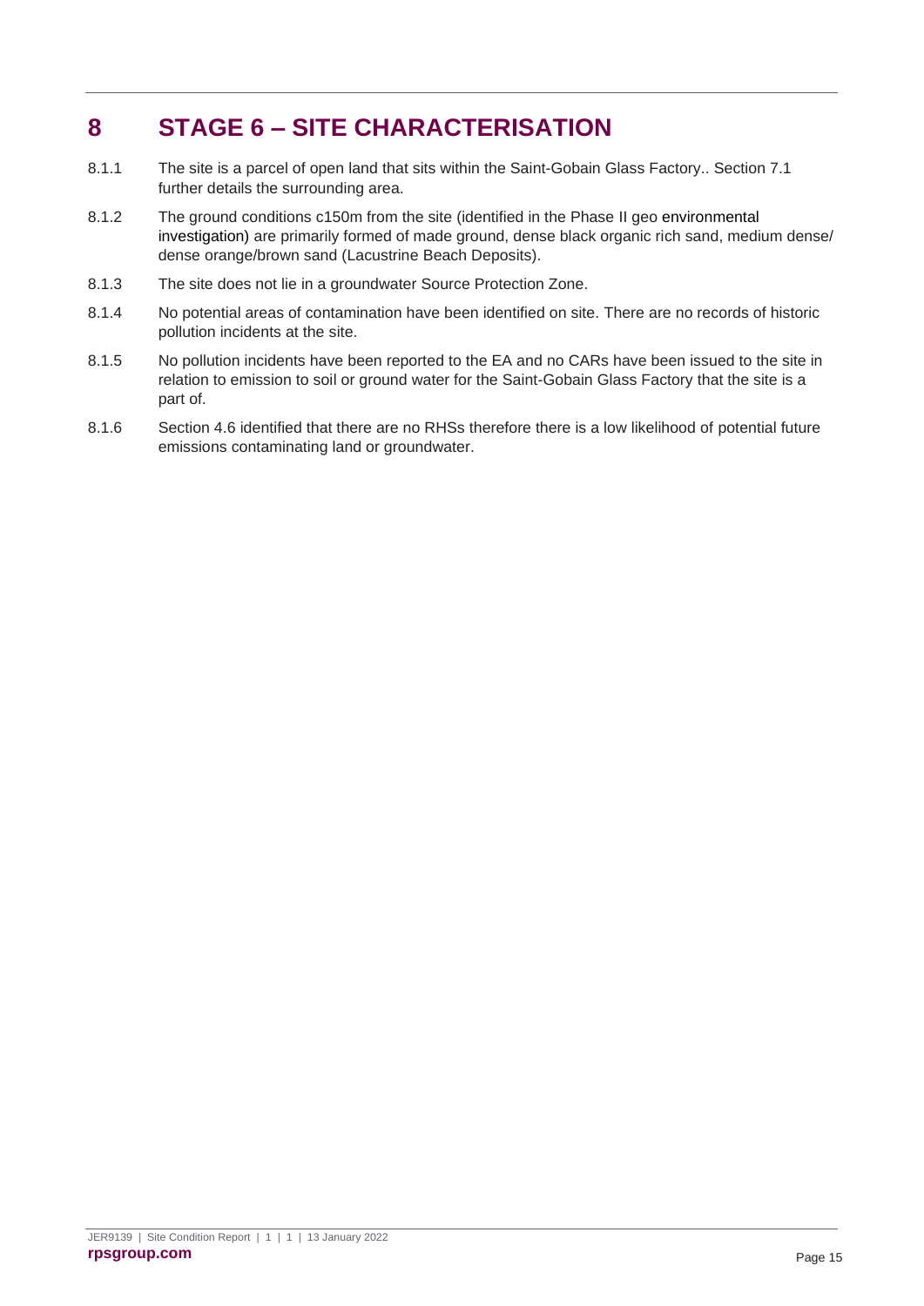## <span id="page-18-0"></span>**8 STAGE 6 – SITE CHARACTERISATION**

- 8.1.1 The site is a parcel of open land that sits within the Saint-Gobain Glass Factory.. Section [7.1](#page-16-1) further details the surrounding area.
- 8.1.2 The ground conditions c150m from the site (identified in the Phase II geo environmental investigation) are primarily formed of made ground, dense black organic rich sand, medium dense/ dense orange/brown sand (Lacustrine Beach Deposits).
- 8.1.3 The site does not lie in a groundwater Source Protection Zone.
- 8.1.4 No potential areas of contamination have been identified on site. There are no records of historic pollution incidents at the site.
- 8.1.5 No pollution incidents have been reported to the EA and no CARs have been issued to the site in relation to emission to soil or ground water for the Saint-Gobain Glass Factory that the site is a part of.
- 8.1.6 Section [4.6](#page-11-0) identified that there are no RHSs therefore there is a low likelihood of potential future emissions contaminating land or groundwater.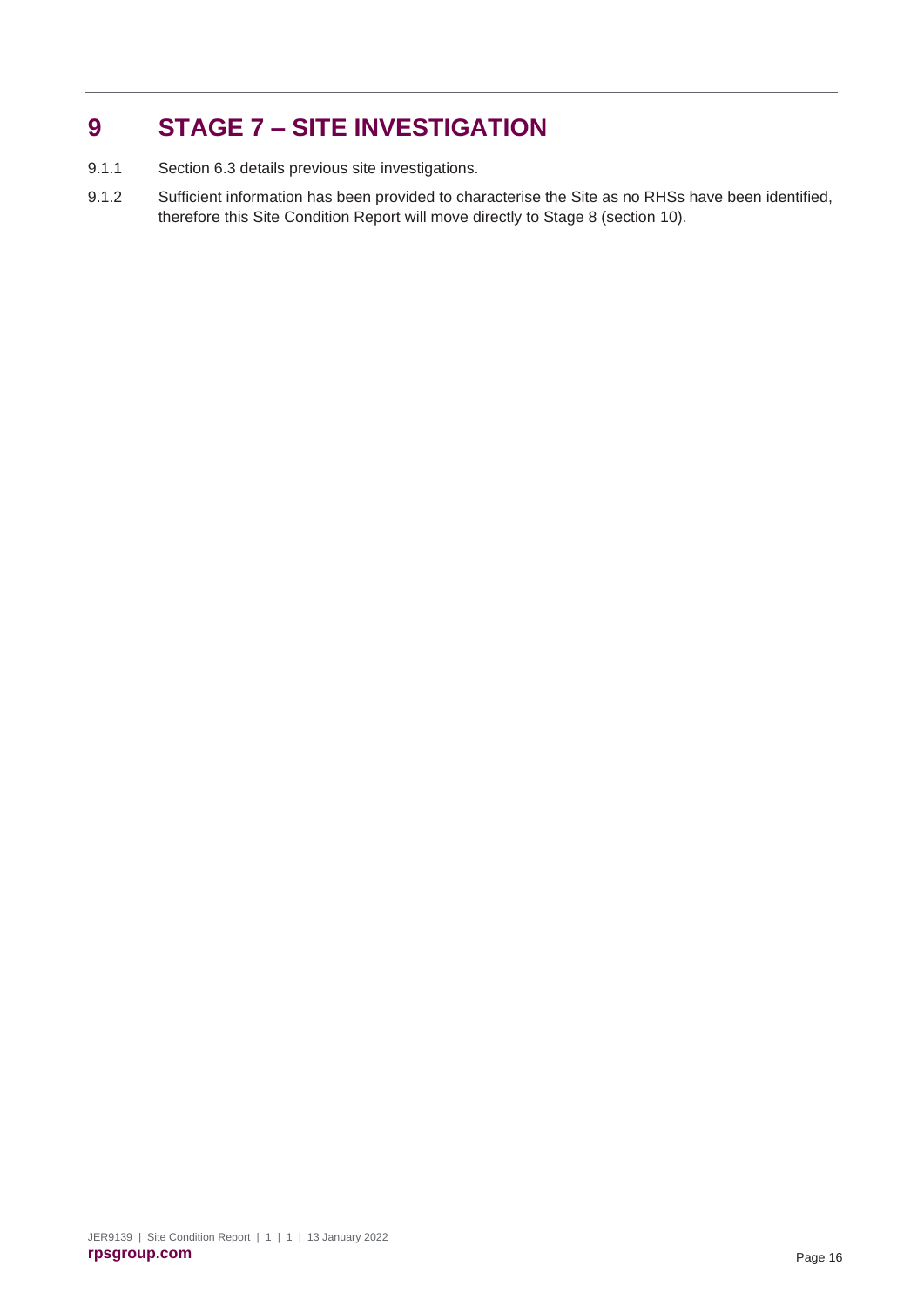## <span id="page-19-0"></span>**9 STAGE 7 – SITE INVESTIGATION**

- 9.1.1 Section [6.3](#page-14-2) details previous site investigations.
- 9.1.2 Sufficient information has been provided to characterise the Site as no RHSs have been identified, therefore this Site Condition Report will move directly to Stage 8 (section [10\)](#page-20-0).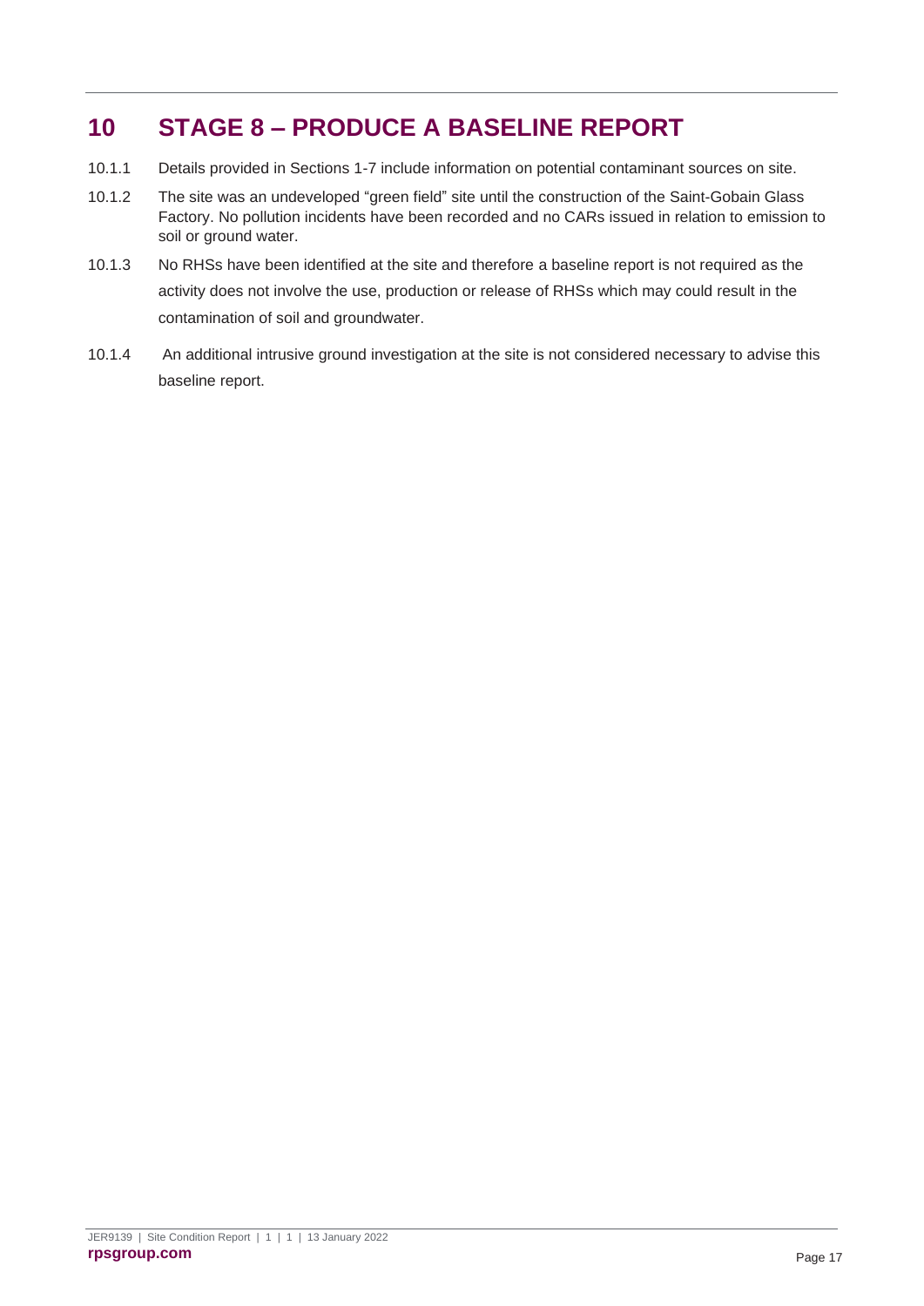## <span id="page-20-0"></span>**10 STAGE 8 – PRODUCE A BASELINE REPORT**

- 10.1.1 Details provided in Sections 1-7 include information on potential contaminant sources on site.
- 10.1.2 The site was an undeveloped "green field" site until the construction of the Saint-Gobain Glass Factory. No pollution incidents have been recorded and no CARs issued in relation to emission to soil or ground water.
- 10.1.3 No RHSs have been identified at the site and therefore a baseline report is not required as the activity does not involve the use, production or release of RHSs which may could result in the contamination of soil and groundwater.
- 10.1.4 An additional intrusive ground investigation at the site is not considered necessary to advise this baseline report.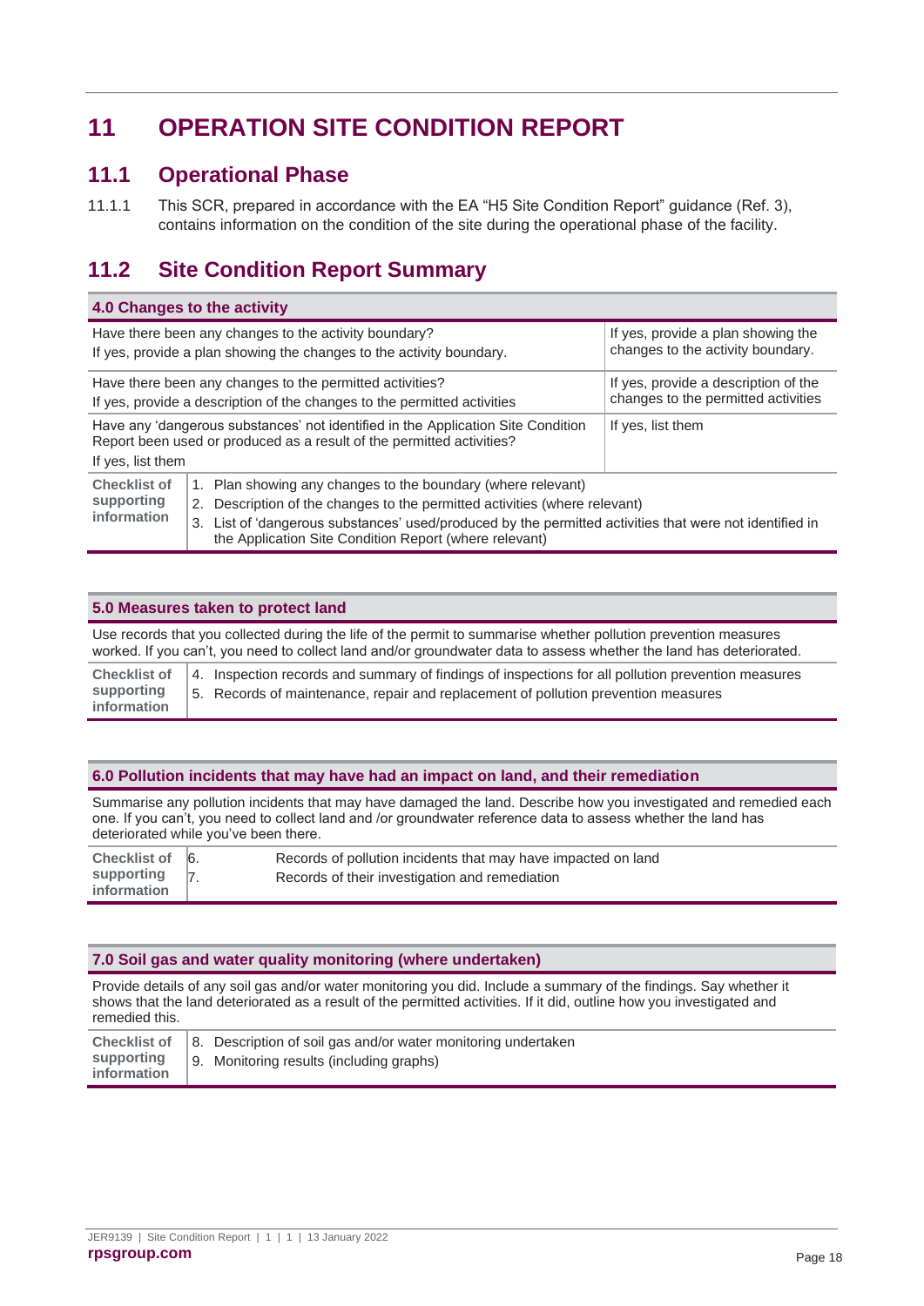## <span id="page-21-0"></span>**11 OPERATION SITE CONDITION REPORT**

### <span id="page-21-1"></span>**11.1 Operational Phase**

11.1.1 This SCR, prepared in accordance with the EA "H5 Site Condition Report" guidance (Ref. 3), contains information on the condition of the site during the operational phase of the facility.

### <span id="page-21-2"></span>**11.2 Site Condition Report Summary**

|                                                                                                                                                                                                                                                                                                                                                                        | 4.0 Changes to the activity                                                                                                                               |                                                                         |  |  |
|------------------------------------------------------------------------------------------------------------------------------------------------------------------------------------------------------------------------------------------------------------------------------------------------------------------------------------------------------------------------|-----------------------------------------------------------------------------------------------------------------------------------------------------------|-------------------------------------------------------------------------|--|--|
|                                                                                                                                                                                                                                                                                                                                                                        | Have there been any changes to the activity boundary?<br>If yes, provide a plan showing the changes to the activity boundary.                             | If yes, provide a plan showing the<br>changes to the activity boundary. |  |  |
| If yes, provide a description of the<br>Have there been any changes to the permitted activities?<br>changes to the permitted activities<br>If yes, provide a description of the changes to the permitted activities                                                                                                                                                    |                                                                                                                                                           |                                                                         |  |  |
| If yes, list them                                                                                                                                                                                                                                                                                                                                                      | Have any 'dangerous substances' not identified in the Application Site Condition<br>Report been used or produced as a result of the permitted activities? | If yes, list them                                                       |  |  |
| <b>Checklist of</b><br>1. Plan showing any changes to the boundary (where relevant)<br>supporting<br>Description of the changes to the permitted activities (where relevant)<br>2.<br>information<br>3. List of 'dangerous substances' used/produced by the permitted activities that were not identified in<br>the Application Site Condition Report (where relevant) |                                                                                                                                                           |                                                                         |  |  |

#### **5.0 Measures taken to protect land**

| Use records that you collected during the life of the permit to summarise whether pollution prevention measures<br>worked. If you can't, you need to collect land and/or groundwater data to assess whether the land has deteriorated. |                                                                                                                                                                                          |  |  |  |
|----------------------------------------------------------------------------------------------------------------------------------------------------------------------------------------------------------------------------------------|------------------------------------------------------------------------------------------------------------------------------------------------------------------------------------------|--|--|--|
| <b>Checklist of</b><br>supporting<br>information                                                                                                                                                                                       | 4. Inspection records and summary of findings of inspections for all pollution prevention measures<br>5. Records of maintenance, repair and replacement of pollution prevention measures |  |  |  |

#### **6.0 Pollution incidents that may have had an impact on land, and their remediation**

Summarise any pollution incidents that may have damaged the land. Describe how you investigated and remedied each one. If you can't, you need to collect land and /or groundwater reference data to assess whether the land has deteriorated while you've been there.

| Checklist of 6.                   | Records of pollution incidents that may have impacted on land |
|-----------------------------------|---------------------------------------------------------------|
| supporting $ 7 $ .<br>information | Records of their investigation and remediation                |

#### **7.0 Soil gas and water quality monitoring (where undertaken)**

Provide details of any soil gas and/or water monitoring you did. Include a summary of the findings. Say whether it shows that the land deteriorated as a result of the permitted activities. If it did, outline how you investigated and remedied this.

|             | Checklist of 3. Description of soil gas and/or water monitoring undertaken |
|-------------|----------------------------------------------------------------------------|
| information | supporting   9. Monitoring results (including graphs)                      |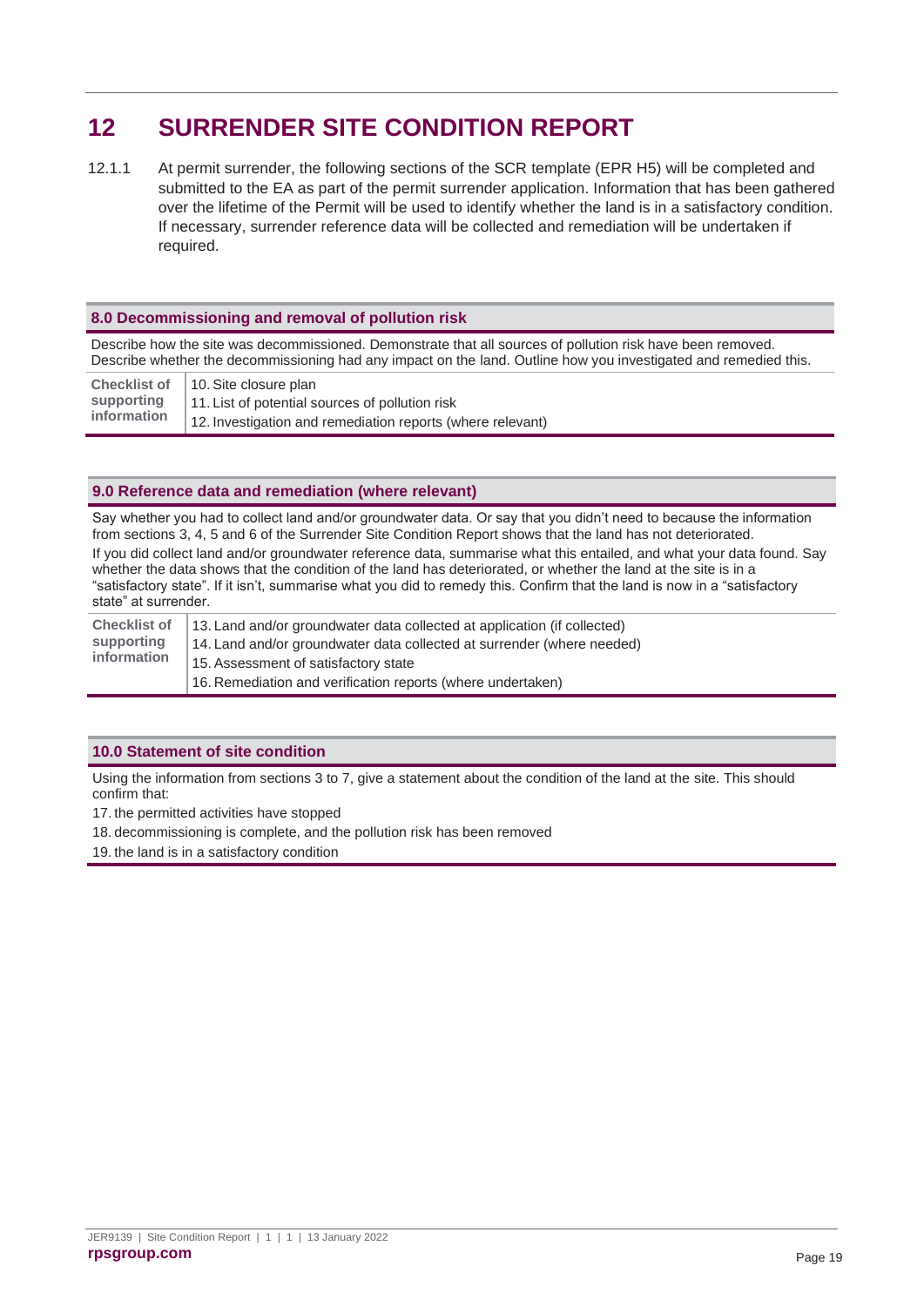## <span id="page-22-0"></span>**12 SURRENDER SITE CONDITION REPORT**

12.1.1 At permit surrender, the following sections of the SCR template (EPR H5) will be completed and submitted to the EA as part of the permit surrender application. Information that has been gathered over the lifetime of the Permit will be used to identify whether the land is in a satisfactory condition. If necessary, surrender reference data will be collected and remediation will be undertaken if required.

#### **8.0 Decommissioning and removal of pollution risk**

Describe how the site was decommissioned. Demonstrate that all sources of pollution risk have been removed. Describe whether the decommissioning had any impact on the land. Outline how you investigated and remedied this.

|             | Checklist of   10. Site closure plan                       |
|-------------|------------------------------------------------------------|
| supporting  | 11. List of potential sources of pollution risk            |
| information | 12. Investigation and remediation reports (where relevant) |

#### **9.0 Reference data and remediation (where relevant)**

Say whether you had to collect land and/or groundwater data. Or say that you didn't need to because the information from sections 3, 4, 5 and 6 of the Surrender Site Condition Report shows that the land has not deteriorated. If you did collect land and/or groundwater reference data, summarise what this entailed, and what your data found. Say whether the data shows that the condition of the land has deteriorated, or whether the land at the site is in a "satisfactory state". If it isn't, summarise what you did to remedy this. Confirm that the land is now in a "satisfactory state" at surrender.

| <b>Checklist of</b><br>supporting<br>information | 13. Land and/or groundwater data collected at application (if collected) |
|--------------------------------------------------|--------------------------------------------------------------------------|
|                                                  | 14. Land and/or groundwater data collected at surrender (where needed)   |
|                                                  | 15. Assessment of satisfactory state                                     |
|                                                  | 16. Remediation and verification reports (where undertaken)              |

#### **10.0 Statement of site condition**

Using the information from sections 3 to 7, give a statement about the condition of the land at the site. This should confirm that:

17. the permitted activities have stopped

18. decommissioning is complete, and the pollution risk has been removed

19. the land is in a satisfactory condition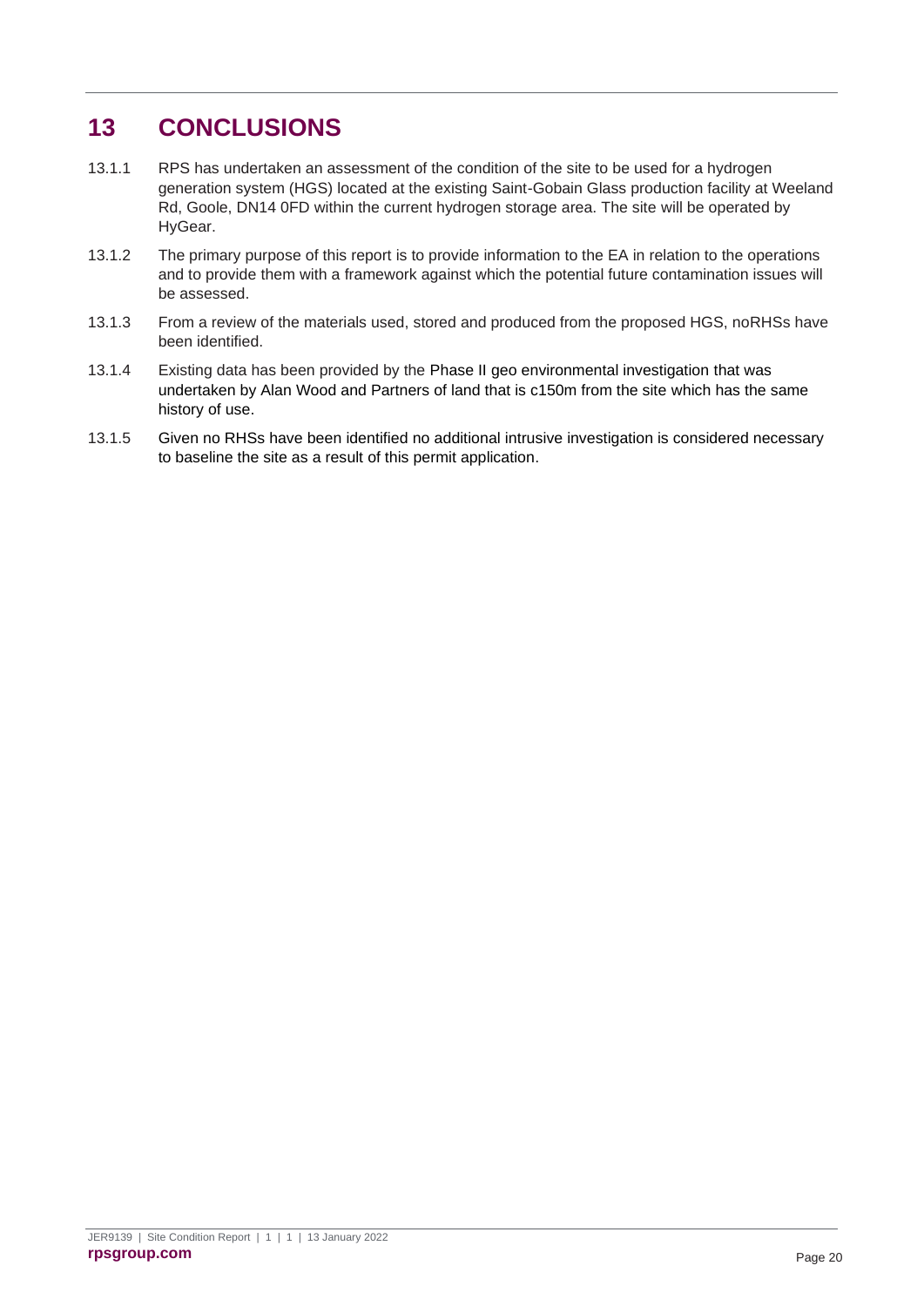## <span id="page-23-0"></span>**13 CONCLUSIONS**

- 13.1.1 RPS has undertaken an assessment of the condition of the site to be used for a hydrogen generation system (HGS) located at the existing Saint-Gobain Glass production facility at Weeland Rd, Goole, DN14 0FD within the current hydrogen storage area. The site will be operated by HyGear.
- 13.1.2 The primary purpose of this report is to provide information to the EA in relation to the operations and to provide them with a framework against which the potential future contamination issues will be assessed.
- 13.1.3 From a review of the materials used, stored and produced from the proposed HGS, noRHSs have been identified.
- 13.1.4 Existing data has been provided by the Phase II geo environmental investigation that was undertaken by Alan Wood and Partners of land that is c150m from the site which has the same history of use.
- 13.1.5 Given no RHSs have been identified no additional intrusive investigation is considered necessary to baseline the site as a result of this permit application.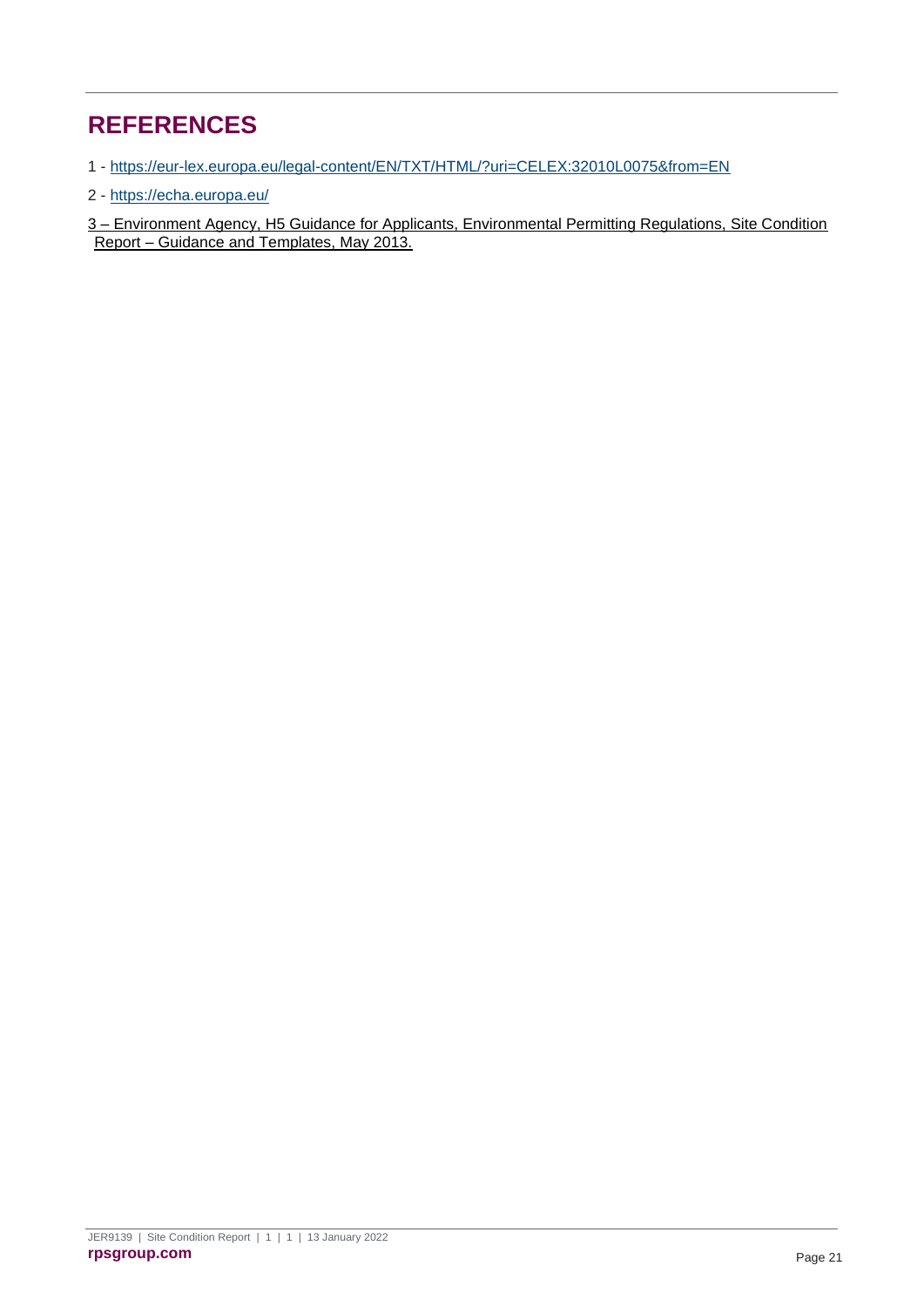## <span id="page-24-0"></span>**REFERENCES**

1 - <https://eur-lex.europa.eu/legal-content/EN/TXT/HTML/?uri=CELEX:32010L0075&from=EN>

2 - <https://echa.europa.eu/>

3 – Environment Agency, H5 Guidance for Applicants, Environmental Permitting Regulations, Site Condition Report – Guidance and Templates, May 2013.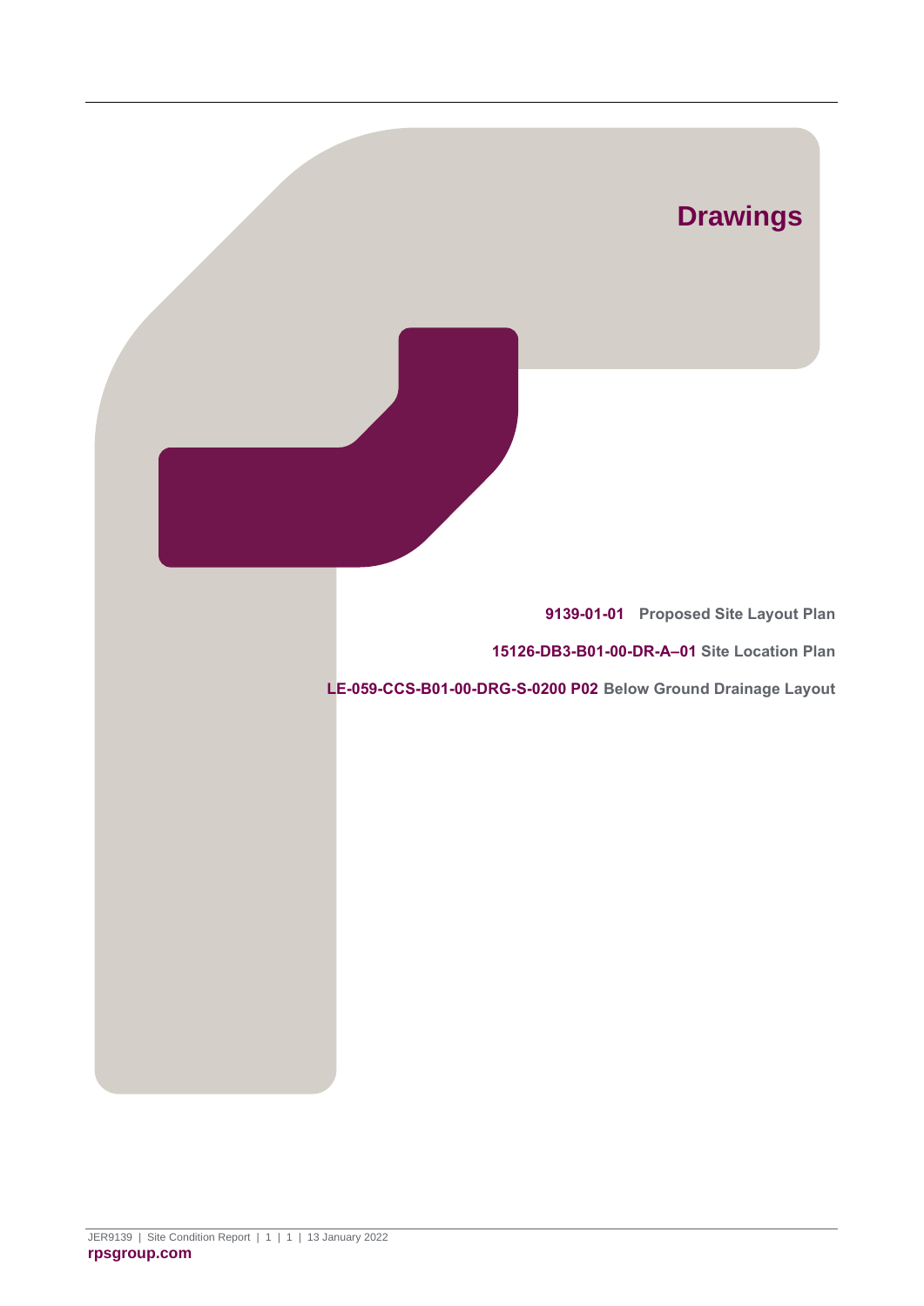<span id="page-25-2"></span><span id="page-25-1"></span><span id="page-25-0"></span>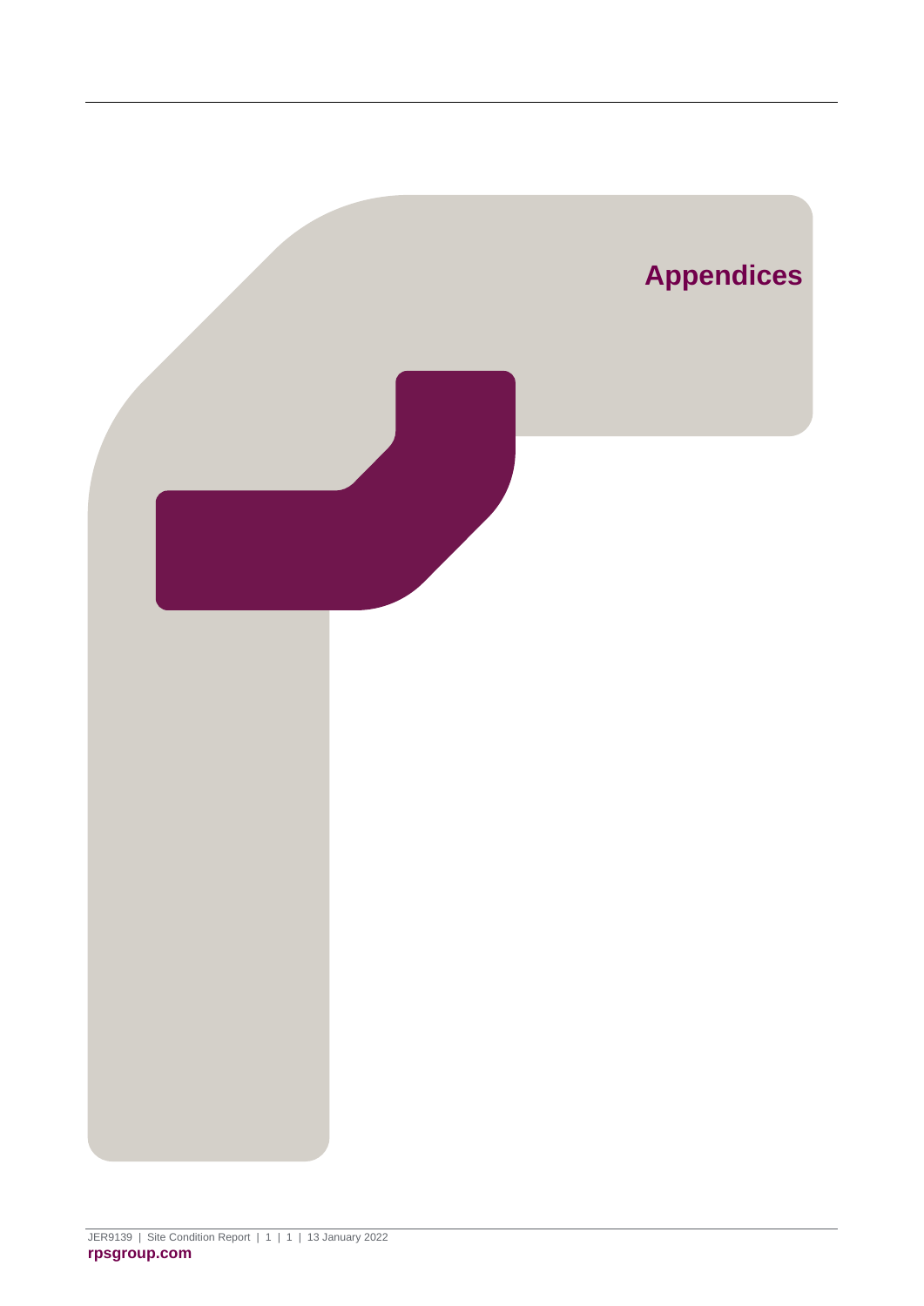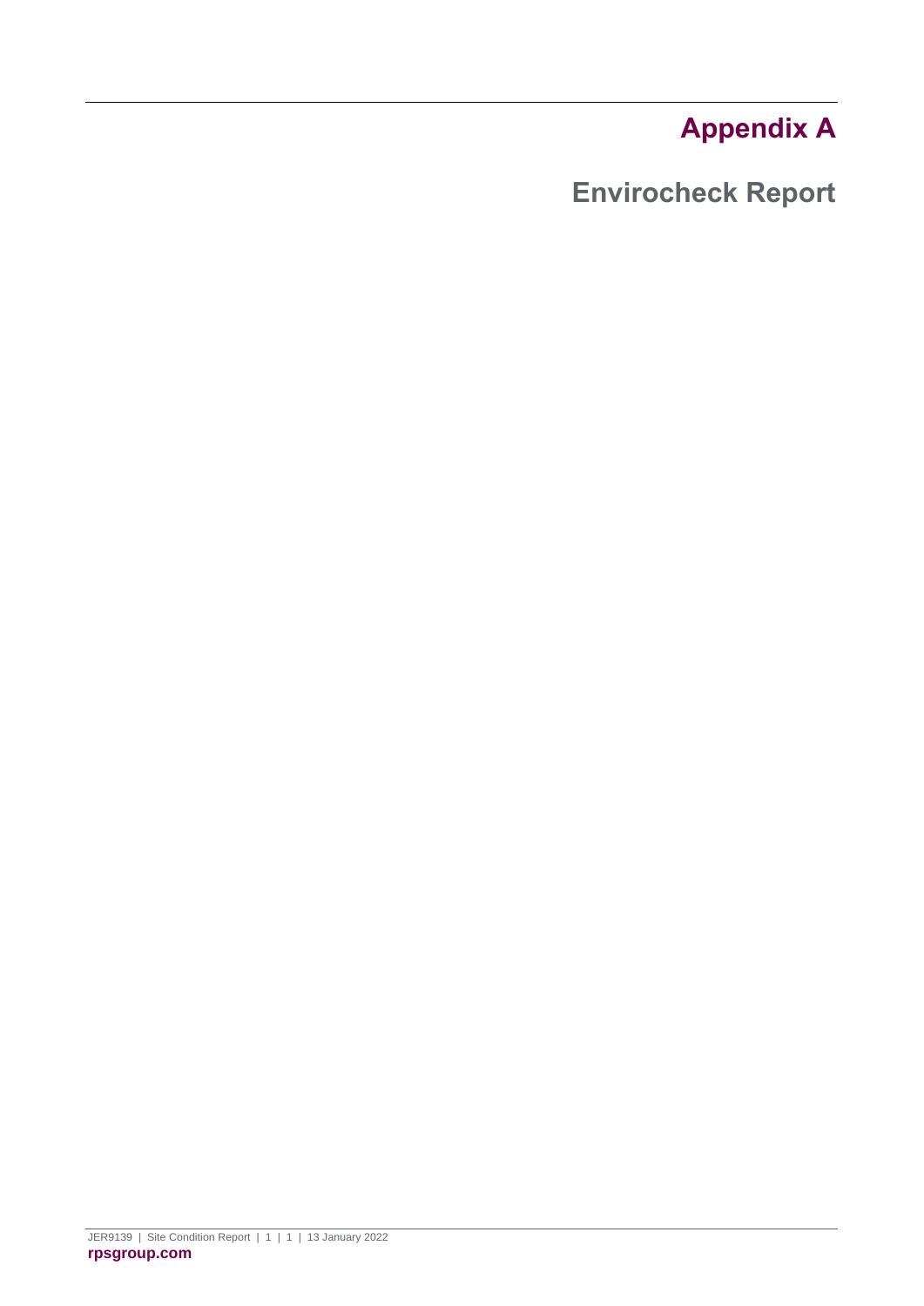# **Appendix A**

<span id="page-27-1"></span><span id="page-27-0"></span>**Envirocheck Report**